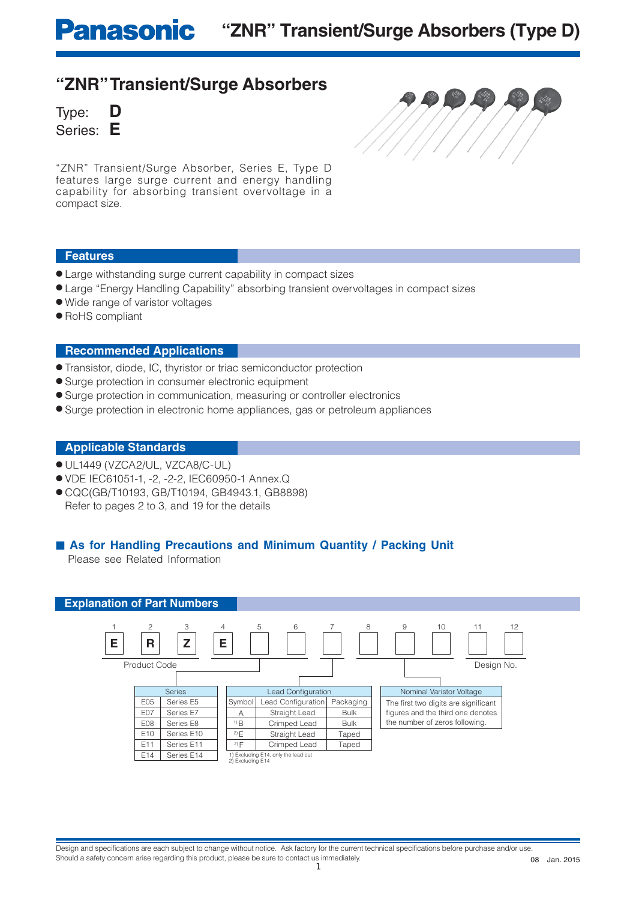## **"ZNR" Transient/Surge Absorbers**

Type: **D** Series: **E**



"ZNR" Transient/Surge Absorber, Series E, Type D features large surge current and energy handling capability for absorbing transient overvoltage in a compact size.

## **Features**

- Large withstanding surge current capability in compact sizes
- Large "Energy Handling Capability" absorbing transient overvoltages in compact sizes
- Wide range of varistor voltages
- RoHS compliant

### **Recommended Applications**

- Transistor, diode, IC, thyristor or triac semiconductor protection
- Surge protection in consumer electronic equipment
- Surge protection in communication, measuring or controller electronics
- Surge protection in electronic home appliances, gas or petroleum appliances

### **Applicable Standards**

- UL1449 (VZCA2/UL, VZCA8/C-UL)
- VDE IEC61051-1, -2, -2-2, IEC60950-1 Annex.Q
- CQC(GB/T10193, GB/T10194, GB4943.1, GB8898) Refer to pages 2 to 3, and 19 for the details

## ■ As for Handling Precautions and Minimum Quantity / Packing Unit

Please see Related Information

### **Explanation of Part Numbers**



1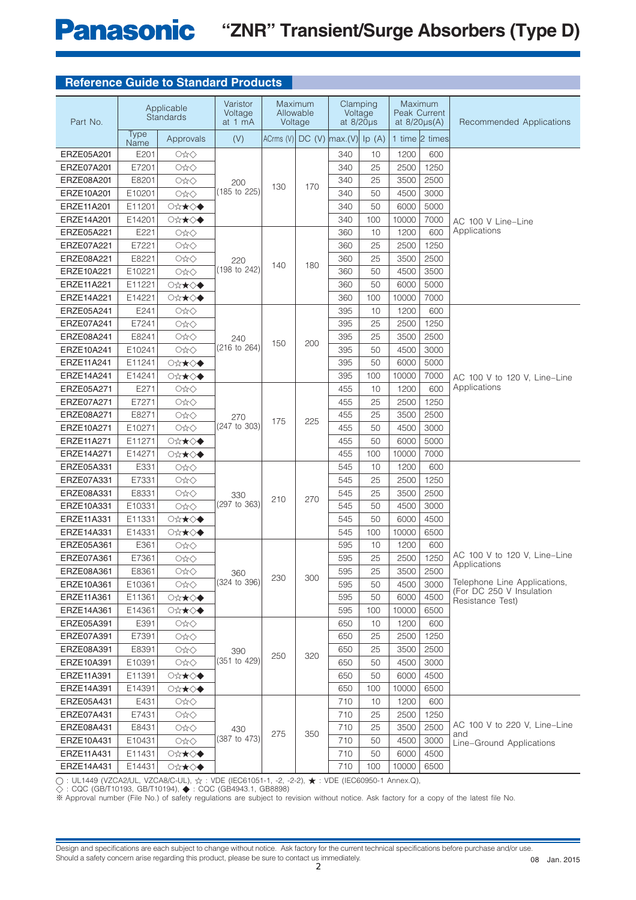## **Panasonic "ZNR" Transient/Surge Absorbers (Type D)**

| <b>Reference Guide to Standard Products</b> |  |  |  |
|---------------------------------------------|--|--|--|
|---------------------------------------------|--|--|--|

| Part No.   |                     | Applicable<br><b>Standards</b> | Varistor<br>Voltage<br>at 1 mA | Voltage                             | Maximum<br>Allowable | Clamping<br>at $8/20\mu s$ | Voltage | at $8/20\mu s(A)$ | Maximum<br><b>Peak Current</b> | Recommended Applications                                 |
|------------|---------------------|--------------------------------|--------------------------------|-------------------------------------|----------------------|----------------------------|---------|-------------------|--------------------------------|----------------------------------------------------------|
|            | <b>Type</b><br>Name | Approvals                      | (V)                            | ACrms (V) $DC$ (V) $max.(V)$ Ip (A) |                      |                            |         |                   | 1 time 2 times                 |                                                          |
| ERZE05A201 | E201                | O☆◇                            |                                |                                     |                      | 340                        | 10      | 1200              | 600                            |                                                          |
| ERZE07A201 | E7201               | OxO                            |                                |                                     |                      | 340                        | 25      | 2500              | 1250                           |                                                          |
| ERZE08A201 | E8201               | O☆◇                            | 200                            |                                     |                      | 340                        | 25      | 3500              | 2500                           |                                                          |
| ERZE10A201 | E10201              | OxO                            | (185 to 225)                   | 130                                 | 170                  | 340                        | 50      | 4500              | 3000                           |                                                          |
| ERZE11A201 | E11201              | ○☆★◇◆                          |                                |                                     |                      | 340                        | 50      | 6000              | 5000                           |                                                          |
| ERZE14A201 | E14201              | ○☆★◇◆                          |                                |                                     |                      | 340                        | 100     | 10000             | 7000                           | AC 100 V Line-Line                                       |
| ERZE05A221 | E221                | O☆◇                            |                                |                                     |                      | 360                        | 10      | 1200              | 600                            | Applications                                             |
| ERZE07A221 | E7221               | <b>○☆◇</b>                     |                                |                                     |                      | 360                        | 25      | 2500              | 1250                           |                                                          |
| ERZE08A221 | E8221               | O☆◇                            | 220                            | 140                                 | 180                  | 360                        | 25      | 3500              | 2500                           |                                                          |
| ERZE10A221 | E10221              | OxO                            | (198 to 242)                   |                                     |                      | 360                        | 50      | 4500              | 3500                           |                                                          |
| ERZE11A221 | E11221              | ○☆★◇◆                          |                                |                                     |                      | 360                        | 50      | 6000              | 5000                           |                                                          |
| ERZE14A221 | E14221              | ◯☆★◇◆                          |                                |                                     |                      | 360                        | 100     | 10000             | 7000                           |                                                          |
| ERZE05A241 | E241                | OxO                            |                                |                                     |                      | 395                        | 10      | 1200              | 600                            |                                                          |
| ERZE07A241 | E7241               | <b>○☆◇</b>                     |                                |                                     |                      | 395                        | 25      | 2500              | 1250                           |                                                          |
| ERZE08A241 | E8241               | <b>○☆◇</b>                     | 240                            | 150                                 | 200                  | 395                        | 25      | 3500              | 2500                           |                                                          |
| ERZE10A241 | E10241              | <b>○☆◇</b>                     | (216 to 264)                   |                                     |                      | 395                        | 50      | 4500              | 3000                           |                                                          |
| ERZE11A241 | E11241              | ○☆★◇◆                          |                                |                                     |                      | 395                        | 50      | 6000              | 5000                           |                                                          |
| ERZE14A241 | E14241              | ◯☆★◇◆                          |                                |                                     |                      | 395                        | 100     | 10000             | 7000                           | AC 100 V to 120 V, Line-Line                             |
| ERZE05A271 | E271                | OxO                            |                                |                                     |                      | 455                        | 10      | 1200              | 600                            | Applications                                             |
| ERZE07A271 | E7271               | OxO                            |                                |                                     |                      | 455                        | 25      | 2500              | 1250                           |                                                          |
| ERZE08A271 | E8271               | O☆◇                            | 270                            | 175                                 | 225                  | 455                        | 25      | 3500              | 2500                           |                                                          |
| ERZE10A271 | E10271              | O☆◇                            | (247 to 303)                   | 455<br>50<br>4500<br>3000           |                      |                            |         |                   |                                |                                                          |
| ERZE11A271 | E11271              | ○☆★◇◆                          |                                |                                     |                      | 455                        | 50      | 6000              | 5000                           |                                                          |
| ERZE14A271 | E14271              | ○☆★◇◆                          |                                |                                     |                      | 455                        | 100     | 10000             | 7000                           |                                                          |
| ERZE05A331 | E331                | O☆◇                            |                                |                                     |                      | 545                        | 10      | 1200              | 600                            |                                                          |
| ERZE07A331 | E7331               | O☆◇                            |                                |                                     |                      | 545                        | 25      | 2500              | 1250                           |                                                          |
| ERZE08A331 | E8331               | O☆◇                            | 330                            | 210                                 | 270                  | 545                        | 25      | 3500              | 2500                           |                                                          |
| ERZE10A331 | E10331              | OxO                            | (297 to 363)                   |                                     |                      | 545                        | 50      | 4500              | 3000                           |                                                          |
| ERZE11A331 | E11331              | ○☆★◇◆                          |                                |                                     |                      | 545                        | 50      | 6000              | 4500                           |                                                          |
| ERZE14A331 | E14331              | ○☆★◇◆                          |                                |                                     |                      | 545                        | 100     | 10000             | 6500                           |                                                          |
| ERZE05A361 | E361                | <b>○☆◇</b>                     |                                |                                     |                      | 595                        | 10      | 1200              | 600                            |                                                          |
| ERZE07A361 | E7361               | <b>○☆◇</b>                     |                                |                                     |                      | 595                        | 25      | 2500              | 1250                           | AC 100 V to 120 V, Line-Line<br>Applications             |
| ERZE08A361 | E8361               | O☆◇                            | 360                            | 230                                 | 300                  | 595                        | 25      | 3500              | 2500                           |                                                          |
| ERZE10A361 | E10361              | O☆◇                            | (324 to 396)                   |                                     |                      | 595                        | 50      | 4500              | 3000                           | Telephone Line Applications,<br>(For DC 250 V Insulation |
| ERZE11A361 | E11361              | ○☆★◇◆                          |                                |                                     |                      | 595                        | 50      | 6000              | 4500                           | Resistance Test)                                         |
| ERZE14A361 | E14361              | ◯☆★◇◆                          |                                |                                     |                      | 595                        | 100     | 10000             | 6500                           |                                                          |
| ERZE05A391 | E391                | O☆◇                            |                                |                                     |                      | 650                        | 10      | 1200              | 600                            |                                                          |
| ERZE07A391 | E7391               | O☆◇                            |                                |                                     |                      | 650                        | 25      | 2500              | 1250                           |                                                          |
| ERZE08A391 | E8391               | O☆◇                            | 390                            | 250                                 | 320                  | 650                        | 25      | 3500              | 2500                           |                                                          |
| ERZE10A391 | E10391              | O☆◇                            | (351 to 429)                   |                                     |                      | 650                        | 50      | 4500              | 3000                           |                                                          |
| ERZE11A391 | E11391              | ◯☆★◇◆                          |                                |                                     |                      | 650                        | 50      | 6000              | 4500                           |                                                          |
| ERZE14A391 | E14391              | ○☆★◇◆                          |                                |                                     |                      | 650                        | 100     | 10000             | 6500                           |                                                          |
| ERZE05A431 | E431                | O☆◇                            |                                |                                     |                      | 710                        | 10      | 1200              | 600                            |                                                          |
| ERZE07A431 | E7431               | O☆◇                            |                                |                                     |                      | 710                        | 25      | 2500              | 1250                           |                                                          |
| ERZE08A431 | E8431               | O☆◇                            | 430                            | 275                                 | 350                  | 710                        | 25      | 3500              | 2500                           | AC 100 V to 220 V, Line-Line<br>and                      |
| ERZE10A431 | E10431              | <b>○☆◇</b>                     | (387 to 473)                   |                                     |                      | 710                        | 50      | 4500              | 3000                           | Line-Ground Applications                                 |
| ERZE11A431 | E11431              | ◯☆★◇◆                          |                                |                                     |                      | 710                        | 50      | 6000              | 4500                           |                                                          |
| ERZE14A431 | E14431              | ◯☆★◇◆                          |                                |                                     |                      | 710                        | 100     | 10000             | 6500                           |                                                          |

◯ : UL1449 (VZCA2/UL, VZCA8/C-UL), ☆ : VDE (IEC61051-1, -2, -2-2), ★ : VDE (IEC60950-1 Annex.Q),

 $\breve{\diamondsuit}$  : CQC (GB/T10193, GB/T10194),  $\blacklozenge$  : CQC (GB4943.1, GB8898)

※ Approval number (File No.) of safety regulations are subject to revision without notice. Ask factory for a copy of the latest file No.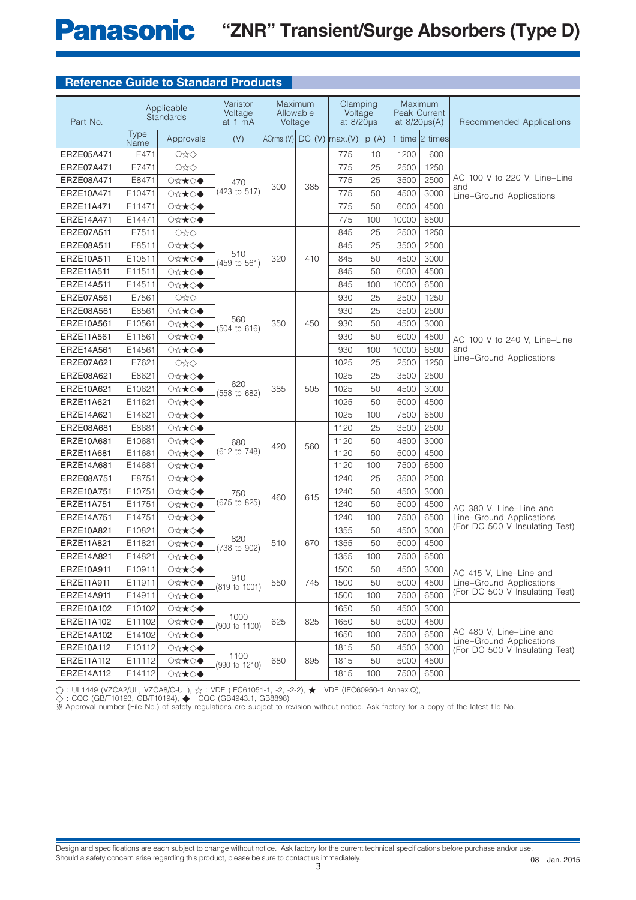# **Panasonic** "ZNR" Transient/Surge Absorbers (Type D)

## **Reference Guide to Standard Products**

| Part No.   |              | Applicable<br><b>Standards</b> | Varistor<br>Voltage<br>at 1 mA | Allowable<br>Voltage | Maximum          | at $8/20\mu s$ | Clamping<br>Voltage | at $8/20\mu s(A)$ | <b>Maximum</b><br>Peak Current | Recommended Applications                                   |
|------------|--------------|--------------------------------|--------------------------------|----------------------|------------------|----------------|---------------------|-------------------|--------------------------------|------------------------------------------------------------|
|            | Type<br>Name | Approvals                      | (V)                            | ACrms (V)            | $DC (V)$ max.(V) |                | lp(A)               |                   | 1 time 2 times                 |                                                            |
| ERZE05A471 | E471         | O☆◇                            |                                |                      |                  | 775            | 10                  | 1200              | 600                            |                                                            |
| ERZE07A471 | E7471        | OxO                            |                                |                      |                  | 775            | 25                  | 2500              | 1250                           |                                                            |
| ERZE08A471 | E8471        | ◯☆★◇◆                          | 470                            |                      |                  | 775            | 25                  | 3500              | 2500                           | AC 100 V to 220 V, Line-Line                               |
| ERZE10A471 | E10471       | ○☆★◇◆                          | (423 to 517)                   | 300                  | 385              | 775            | 50                  | 4500              | 3000                           | and<br>Line-Ground Applications                            |
| ERZE11A471 | E11471       | ○☆★◇◆                          |                                |                      |                  | 775            | 50                  | 6000              | 4500                           |                                                            |
| ERZE14A471 | E14471       | ○☆★◇◆                          |                                |                      |                  | 775            | 100                 | 10000             | 6500                           |                                                            |
| ERZE07A511 | E7511        | O☆◇                            |                                |                      |                  | 845            | 25                  | 2500              | 1250                           |                                                            |
| ERZE08A511 | E8511        | ○☆★◇◆                          |                                |                      |                  | 845            | 25                  | 3500              | 2500                           |                                                            |
| ERZE10A511 | E10511       | ○☆★◇◆                          | 510<br>(459 to 561)            | 320                  | 410              | 845            | 50                  | 4500              | 3000                           |                                                            |
| ERZE11A511 | E11511       | ◯☆★◇◆                          |                                |                      |                  | 845            | 50                  | 6000              | 4500                           |                                                            |
| ERZE14A511 | E14511       | ○☆★◇◆                          |                                |                      |                  | 845            | 100                 | 10000             | 6500                           |                                                            |
| ERZE07A561 | E7561        | O☆◇                            |                                |                      |                  | 930            | 25                  | 2500              | 1250                           |                                                            |
| ERZE08A561 | E8561        | ○☆★◇◆                          |                                |                      |                  | 930            | 25                  | 3500              | 2500                           |                                                            |
| ERZE10A561 | E10561       | ○☆★◇◆                          | 560<br>(504 to 616)            | 350                  | 450              | 930            | 50                  | 4500              | 3000                           |                                                            |
| ERZE11A561 | E11561       | ◯☆★◇◆                          |                                |                      |                  | 930            | 50                  | 6000              | 4500                           | AC 100 V to 240 V, Line-Line                               |
| ERZE14A561 | E14561       | ○☆★◇◆                          |                                |                      |                  | 930            | 100                 | 10000             | 6500                           | and                                                        |
| ERZE07A621 | E7621        | OxO                            |                                |                      |                  | 1025           | 25                  | 2500              | 1250                           | Line-Ground Applications                                   |
| ERZE08A621 | E8621        | ○☆★◇◆                          |                                |                      |                  | 1025           | 25                  | 3500              | 2500                           |                                                            |
| ERZE10A621 | E10621       | ○☆★◇◆                          | 620<br>(558 to 682)            | 385                  | 505              | 1025           | 50                  | 4500              | 3000                           |                                                            |
| ERZE11A621 | E11621       | ○☆★◇◆                          |                                |                      |                  | 1025           | 50                  | 5000              | 4500                           |                                                            |
| ERZE14A621 | E14621       | ○☆★◇◆                          |                                |                      |                  | 1025           | 100                 | 7500              | 6500                           |                                                            |
| ERZE08A681 | E8681        | ○☆★◇◆                          |                                |                      |                  | 1120           | 25                  | 3500              | 2500                           |                                                            |
| ERZE10A681 | E10681       | ○☆★◇◆                          | 680                            | 420                  | 560              | 1120           | 50                  | 4500              | 3000                           |                                                            |
| ERZE11A681 | E11681       | ○☆★◇◆                          | (612 to 748)                   |                      |                  | 1120           | 50                  | 5000              | 4500                           |                                                            |
| ERZE14A681 | E14681       | ◯☆★◇◆                          |                                |                      |                  | 1120           | 100                 | 7500              | 6500                           |                                                            |
| ERZE08A751 | E8751        | ○☆★◇◆                          |                                |                      |                  | 1240           | 25                  | 3500              | 2500                           |                                                            |
| ERZE10A751 | E10751       | ○☆★◇◆                          | 750                            | 460                  | 615              | 1240           | 50                  | 4500              | 3000                           |                                                            |
| ERZE11A751 | E11751       | ○☆★◇◆                          | (675 to 825)                   |                      |                  | 1240           | 50                  | 5000              | 4500                           | AC 380 V, Line-Line and                                    |
| ERZE14A751 | E14751       | ○☆★◇◆                          |                                |                      |                  | 1240           | 100                 | 7500              | 6500                           | Line-Ground Applications<br>(For DC 500 V Insulating Test) |
| ERZE10A821 | E10821       | ○☆★◇◆                          | 820                            |                      |                  | 1355           | 50                  | 4500              | 3000                           |                                                            |
| ERZE11A821 | E11821       | ○☆★◇◆                          | (738 to 902)                   | 510                  | 670              | 1355           | 50                  | 5000              | 4500                           |                                                            |
| ERZE14A821 | E14821       | ○☆★◇◆                          |                                |                      |                  | 1355           | 100                 | 7500              | 6500                           |                                                            |
| ERZE10A911 | E10911       | ◯☆★◇◆                          | 910                            |                      |                  | 1500           | 50                  | 4500              | 3000                           | AC 415 V, Line-Line and                                    |
| ERZE11A911 | E11911       | ○☆★◇◆                          | (819 to 1001)                  | 550                  | 745              | 1500           | 50                  | 5000              | 4500                           | Line-Ground Applications<br>(For DC 500 V Insulating Test) |
| ERZE14A911 | E14911       | ○☆★◇◆                          |                                |                      |                  | 1500           | 100                 | 7500              | 6500                           |                                                            |
| ERZE10A102 | E10102       | ◯☆★◇◆                          | 1000                           |                      |                  | 1650           | 50                  | 4500              | 3000                           |                                                            |
| ERZE11A102 | E11102       | ◯☆★◇◆                          | (900 to 1100)                  | 625                  | 825              | 1650           | 50                  | 5000              | 4500                           |                                                            |
| ERZE14A102 | E14102       | ○☆★◇◆                          |                                |                      |                  | 1650           | 100                 | 7500              | 6500                           | AC 480 V, Line-Line and<br>Line-Ground Applications        |
| ERZE10A112 | E10112       | ○☆★◇◆                          |                                |                      |                  | 1815           | 50                  | 4500              | 3000                           | (For DC 500 V Insulating Test)                             |
| ERZE11A112 | E11112       | ◯☆★◇◆                          | 1100<br>(990 to 1210)          | 680                  | 895              | 1815           | 50                  | 5000              | 4500                           |                                                            |
| ERZE14A112 | E14112       | ○☆★◇◆                          |                                |                      |                  | 1815           | 100                 | 7500              | 6500                           |                                                            |

◯ : UL1449 (VZCA2/UL, VZCA8/C-UL), ☆ : VDE (IEC61051-1, -2, -2-2), ★ : VDE (IEC60950-1 Annex.Q),

 $\breve{\diamondsuit}$  : CQC (GB/T10193, GB/T10194),  $\blacklozenge$  : CQC (GB4943.1, GB8898)

※ Approval number (File No.) of safety regulations are subject to revision without notice. Ask factory for a copy of the latest file No.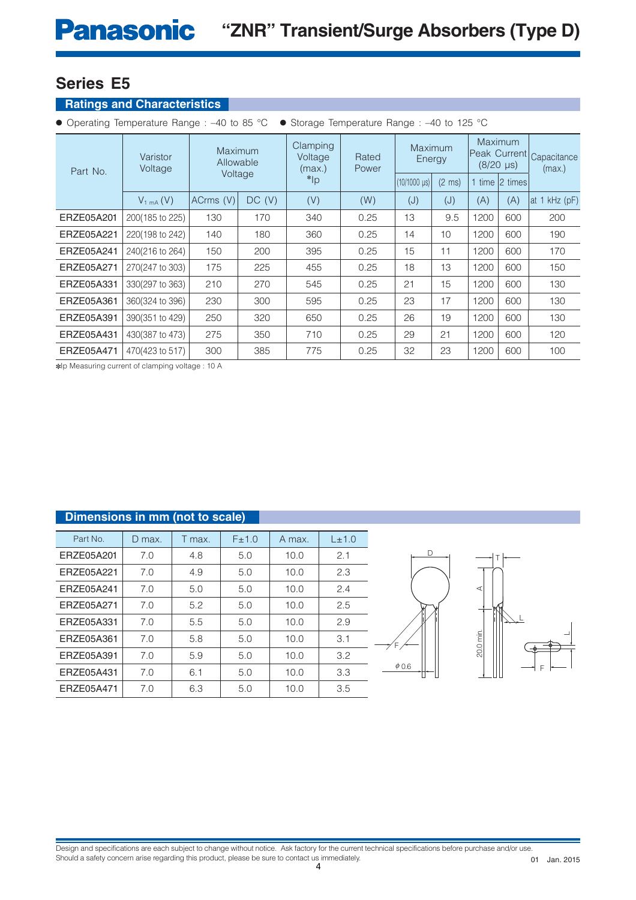## **Ratings and Characteristics**

|  |  |  |  |  |  |  |  | • Operating Temperature Range: -40 to 85 °C • Storage Temperature Range: -40 to 125 °C |  |
|--|--|--|--|--|--|--|--|----------------------------------------------------------------------------------------|--|
|--|--|--|--|--|--|--|--|----------------------------------------------------------------------------------------|--|

| Part No.   | Varistor<br>Voltage  | Maximum<br>Allowable<br>Voltage |        | Clamping<br>Voltage<br>(max.) | Rated<br>Power | Maximum<br>Energy               |                  |      | Maximum<br>Peak Currentl<br>$(8/20 \text{ }\mu\text{s})$ | Capacitance<br>(max.) |
|------------|----------------------|---------------------------------|--------|-------------------------------|----------------|---------------------------------|------------------|------|----------------------------------------------------------|-----------------------|
|            |                      |                                 |        | $*$ lp                        |                | $(10/1000 \text{ }\mu\text{s})$ | $(2 \text{ ms})$ |      | 1 time 2 times                                           |                       |
|            | $V_{1 \text{mA}}(V)$ | ACrms (V)                       | DC (V) | (V)                           | (W)            | (J)                             | (J)              | (A)  | (A)                                                      | $kHz$ (pF)<br>at 1    |
| ERZE05A201 | 200(185 to 225)      | 130                             | 170    | 340                           | 0.25           | 13                              | 9.5              | 1200 | 600                                                      | 200                   |
| ERZE05A221 | 220(198 to 242)      | 140                             | 180    | 360                           | 0.25           | 14                              | 10               | 1200 | 600                                                      | 190                   |
| ERZE05A241 | 240(216 to 264)      | 150                             | 200    | 395                           | 0.25           | 15                              | 11               | 1200 | 600                                                      | 170                   |
| ERZE05A271 | 270(247 to 303)      | 175                             | 225    | 455                           | 0.25           | 18                              | 13               | 1200 | 600                                                      | 150                   |
| ERZE05A331 | 330(297 to 363)      | 210                             | 270    | 545                           | 0.25           | 21                              | 15               | 1200 | 600                                                      | 130                   |
| ERZE05A361 | 360(324 to 396)      | 230                             | 300    | 595                           | 0.25           | 23                              | 17               | 1200 | 600                                                      | 130                   |
| ERZE05A391 | 390(351 to 429)      | 250                             | 320    | 650                           | 0.25           | 26                              | 19               | 1200 | 600                                                      | 130                   |
| ERZE05A431 | 430(387 to 473)      | 275                             | 350    | 710                           | 0.25           | 29                              | 21               | 1200 | 600                                                      | 120                   |
| ERZE05A471 | 470(423 to 517)      | 300                             | 385    | 775                           | 0.25           | 32                              | 23               | 1200 | 600                                                      | 100                   |

✽Ip Measuring current of clamping voltage : 10 A

| Dimensions in mm (not to scale) |        |        |       |        |       |
|---------------------------------|--------|--------|-------|--------|-------|
| Part No.                        | D max. | T max. | F±1.0 | A max. | L±1.0 |
| ERZE05A201                      | 7.0    | 4.8    | 5.0   | 10.0   | 2.1   |
| ERZE05A221                      | 7.0    | 4.9    | 5.0   | 10.0   | 2.3   |
| ERZE05A241                      | 7.0    | 5.0    | 5.0   | 10.0   | 2.4   |
| ERZE05A271                      | 7.0    | 5.2    | 5.0   | 10.0   | 2.5   |
| ERZE05A331                      | 7.0    | 5.5    | 5.0   | 10.0   | 2.9   |
| ERZE05A361                      | 7.0    | 5.8    | 5.0   | 10.0   | 3.1   |
| ERZE05A391                      | 7.0    | 5.9    | 5.0   | 10.0   | 3.2   |
| ERZE05A431                      | 7.0    | 6.1    | 5.0   | 10.0   | 3.3   |
| ERZE05A471                      | 7.0    | 6.3    | 5.0   | 10.0   | 3.5   |



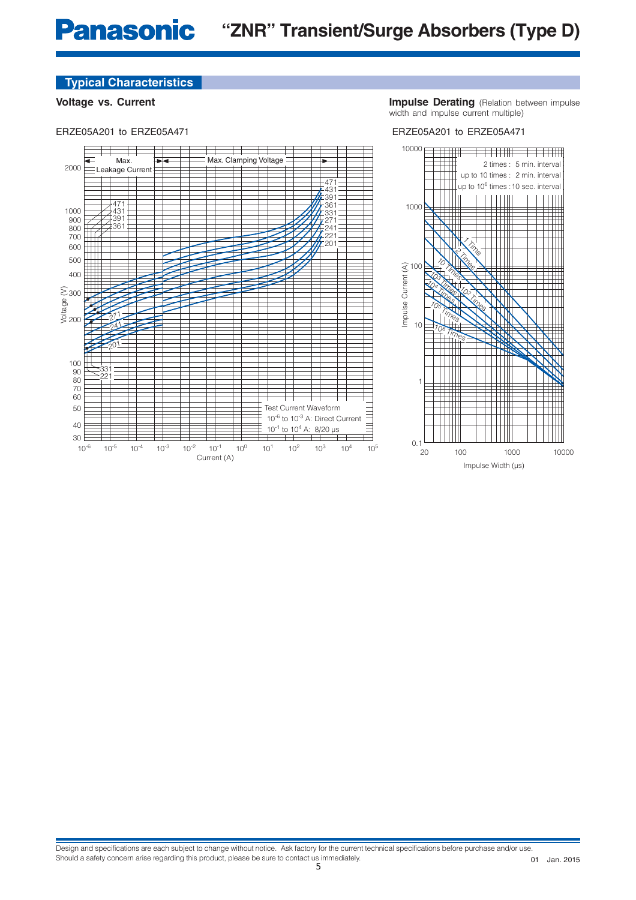**Voltage vs. Current Impulse Derating** (Relation between impulse width and impulse current multiple)

#### ERZE05A201 to ERZE05A471 ERZE05A201 to ERZE05A471





Impulse Width (µs)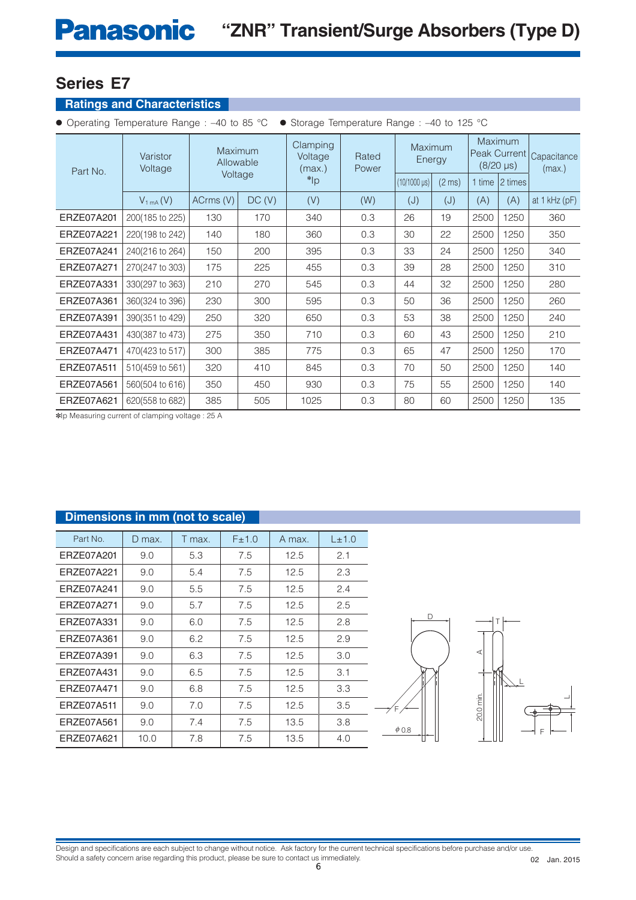## **Ratings and Characteristics**

|  | ● Operating Temperature Range: -40 to 85 °C · Storage Temperature Range: -40 to 125 °C |
|--|----------------------------------------------------------------------------------------|
|--|----------------------------------------------------------------------------------------|

| Part No.   | Varistor<br>Voltage | Maximum<br>Allowable<br>Voltage |       | Clamping<br>Voltage<br>(max.) | Rated<br>Power | <b>Maximum</b><br>Energy |                  | <b>Maximum</b><br>Peak Current<br>$(8/20 \,\mu s)$ |                  | Capacitance<br>(max.) |
|------------|---------------------|---------------------------------|-------|-------------------------------|----------------|--------------------------|------------------|----------------------------------------------------|------------------|-----------------------|
|            |                     |                                 |       | $*$ lp                        |                | $(10/1000 \,\mu s)$      | $(2 \text{ ms})$ |                                                    | 1 time   2 times |                       |
|            | $V_{1mA}(V)$        | ACrms (V)                       | DC(V) | (V)                           | (W)            | (J)                      | (J)              | (A)                                                | (A)              | at 1 kHz (pF)         |
| ERZE07A201 | 200(185 to 225)     | 130                             | 170   | 340                           | 0.3            | 26                       | 19               | 2500                                               | 1250             | 360                   |
| ERZE07A221 | 220(198 to 242)     | 140                             | 180   | 360                           | 0.3            | 30                       | 22               | 2500                                               | 1250             | 350                   |
| ERZE07A241 | 240(216 to 264)     | 150                             | 200   | 395                           | 0.3            | 33                       | 24               | 2500                                               | 1250             | 340                   |
| ERZE07A271 | 270(247 to 303)     | 175                             | 225   | 455                           | 0.3            | 39                       | 28               | 2500                                               | 1250             | 310                   |
| ERZE07A331 | 330(297 to 363)     | 210                             | 270   | 545                           | 0.3            | 44                       | 32               | 2500                                               | 1250             | 280                   |
| ERZE07A361 | 360(324 to 396)     | 230                             | 300   | 595                           | 0.3            | 50                       | 36               | 2500                                               | 1250             | 260                   |
| ERZE07A391 | 390(351 to 429)     | 250                             | 320   | 650                           | 0.3            | 53                       | 38               | 2500                                               | 1250             | 240                   |
| ERZE07A431 | 430(387 to 473)     | 275                             | 350   | 710                           | 0.3            | 60                       | 43               | 2500                                               | 1250             | 210                   |
| ERZE07A471 | 470(423 to 517)     | 300                             | 385   | 775                           | 0.3            | 65                       | 47               | 2500                                               | 1250             | 170                   |
| ERZE07A511 | 510(459 to 561)     | 320                             | 410   | 845                           | 0.3            | 70                       | 50               | 2500                                               | 1250             | 140                   |
| ERZE07A561 | 560(504 to 616)     | 350                             | 450   | 930                           | 0.3            | 75                       | 55               | 2500                                               | 1250             | 140                   |
| ERZE07A621 | 620(558 to 682)     | 385                             | 505   | 1025                          | 0.3            | 80                       | 60               | 2500                                               | 1250             | 135                   |

✽Ip Measuring current of clamping voltage : 25 A

| Dimensions in mm (not to scale) |        |        |       |        |       |
|---------------------------------|--------|--------|-------|--------|-------|
|                                 |        |        |       |        |       |
| Part No.                        | D max. | T max. | F±1.0 | A max. | L±1.0 |
| ERZE07A201                      | 9.0    | 5.3    | 7.5   | 12.5   | 2.1   |
| ERZE07A221                      | 9.0    | 5.4    | 7.5   | 12.5   | 2.3   |
| ERZE07A241                      | 9.0    | 5.5    | 7.5   | 12.5   | 2.4   |
| ERZE07A271                      | 9.0    | 5.7    | 7.5   | 12.5   | 2.5   |
| ERZE07A331                      | 9.0    | 6.0    | 7.5   | 12.5   | 2.8   |
| ERZE07A361                      | 9.0    | 6.2    | 7.5   | 12.5   | 2.9   |
| ERZE07A391                      | 9.0    | 6.3    | 7.5   | 12.5   | 3.0   |
| ERZE07A431                      | 9.0    | 6.5    | 7.5   | 12.5   | 3.1   |
| ERZE07A471                      | 9.0    | 6.8    | 7.5   | 12.5   | 3.3   |
| ERZE07A511                      | 9.0    | 7.0    | 7.5   | 12.5   | 3.5   |
| ERZE07A561                      | 9.0    | 7.4    | 7.5   | 13.5   | 3.8   |
| ERZE07A621                      | 10.0   | 7.8    | 7.5   | 13.5   | 4.0   |



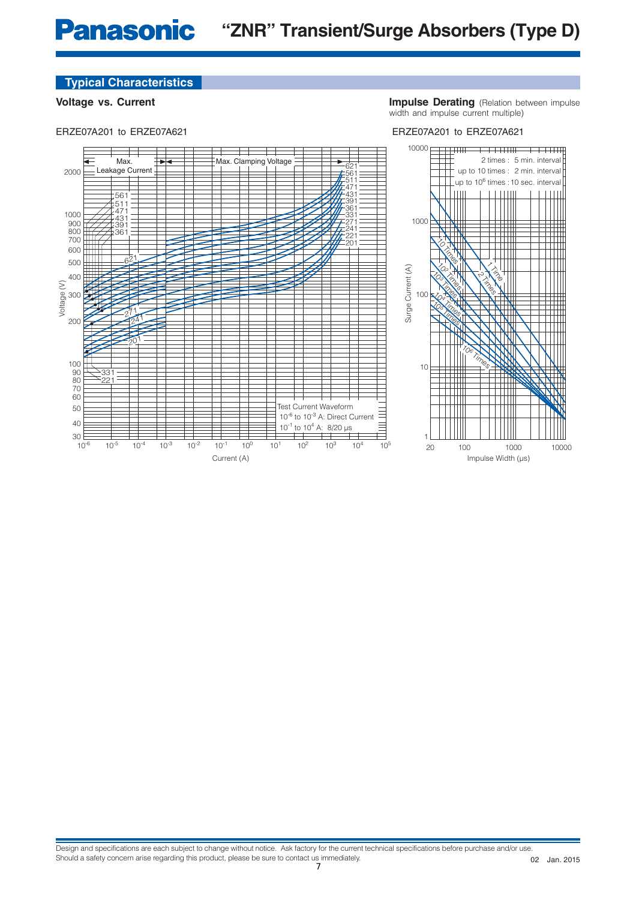**Voltage vs. Current Impulse Derating** (Relation between impulse width and impulse current multiple)

#### ERZE07A201 to ERZE07A621 ERZE07A201 to ERZE07A621

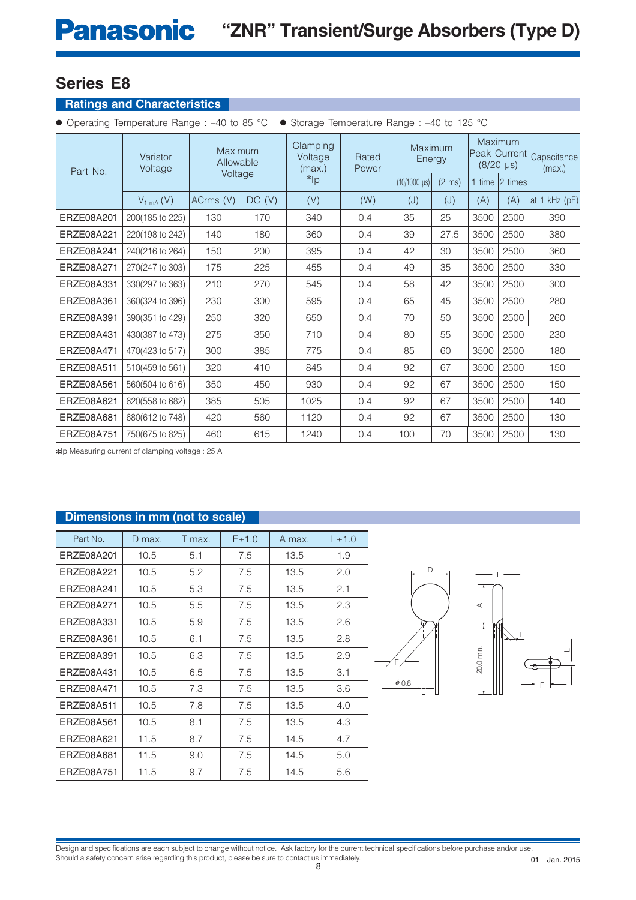## **Ratings and Characteristics**

● Operating Temperature Range : –40 to 85 °C ● Storage Temperature Range : –40 to 125 °C

| Part No.   | Varistor<br>Voltage  | Maximum<br>Allowable |        | Clamping<br>Voltage<br>(max.) | Rated<br>Power | Maximum<br>Energy               |                  | Maximum<br>Peak Current<br>$(8/20 \text{ }\mu\text{s})$ |                | Capacitance<br>(max.) |
|------------|----------------------|----------------------|--------|-------------------------------|----------------|---------------------------------|------------------|---------------------------------------------------------|----------------|-----------------------|
|            |                      | Voltage              |        | $*$ <sub>lp</sub>             |                | $(10/1000 \text{ }\mu\text{s})$ | $(2 \text{ ms})$ |                                                         | 1 time 2 times |                       |
|            | $V_{1 \text{mA}}(V)$ | ACrms (V)            | DC (V) | (V)                           | (W)            | (J)                             | (J)              | (A)                                                     | (A)            | at 1 kHz (pF)         |
| ERZE08A201 | 200(185 to 225)      | 130                  | 170    | 340                           | 0.4            | 35                              | 25               | 3500                                                    | 2500           | 390                   |
| ERZE08A221 | 220(198 to 242)      | 140                  | 180    | 360                           | 0.4            | 39                              | 27.5             | 3500                                                    | 2500           | 380                   |
| ERZE08A241 | 240(216 to 264)      | 150                  | 200    | 395                           | 0.4            | 42                              | 30               | 3500                                                    | 2500           | 360                   |
| ERZE08A271 | 270(247 to 303)      | 175                  | 225    | 455                           | 0.4            | 49                              | 35               | 3500                                                    | 2500           | 330                   |
| ERZE08A331 | 330(297 to 363)      | 210                  | 270    | 545                           | 0.4            | 58                              | 42               | 3500                                                    | 2500           | 300                   |
| ERZE08A361 | 360(324 to 396)      | 230                  | 300    | 595                           | 0.4            | 65                              | 45               | 3500                                                    | 2500           | 280                   |
| ERZE08A391 | 390(351 to 429)      | 250                  | 320    | 650                           | 0.4            | 70                              | 50               | 3500                                                    | 2500           | 260                   |
| ERZE08A431 | 430(387 to 473)      | 275                  | 350    | 710                           | 0.4            | 80                              | 55               | 3500                                                    | 2500           | 230                   |
| ERZE08A471 | 470(423 to 517)      | 300                  | 385    | 775                           | 0.4            | 85                              | 60               | 3500                                                    | 2500           | 180                   |
| ERZE08A511 | 510(459 to 561)      | 320                  | 410    | 845                           | 0.4            | 92                              | 67               | 3500                                                    | 2500           | 150                   |
| ERZE08A561 | 560(504 to 616)      | 350                  | 450    | 930                           | 0.4            | 92                              | 67               | 3500                                                    | 2500           | 150                   |
| ERZE08A621 | 620(558 to 682)      | 385                  | 505    | 1025                          | 0.4            | 92                              | 67               | 3500                                                    | 2500           | 140                   |
| ERZE08A681 | 680(612 to 748)      | 420                  | 560    | 1120                          | 0.4            | 92                              | 67               | 3500                                                    | 2500           | 130                   |
| ERZE08A751 | 750(675 to 825)      | 460                  | 615    | 1240                          | 0.4            | 100                             | 70               | 3500                                                    | 2500           | 130                   |

✽Ip Measuring current of clamping voltage : 25 A

## **Dimensions in mm (not to scale)**

| Part No.   | D max. | T max. | F±1.0 | A max. | $L_{\pm}$ 1.0 |
|------------|--------|--------|-------|--------|---------------|
| ERZE08A201 | 10.5   | 5.1    | 7.5   | 13.5   | 1.9           |
| ERZE08A221 | 10.5   | 5.2    | 7.5   | 13.5   | 2.0           |
| ERZE08A241 | 10.5   | 5.3    | 7.5   | 13.5   | 2.1           |
| ERZE08A271 | 10.5   | 5.5    | 7.5   | 13.5   | 2.3           |
| ERZE08A331 | 10.5   | 5.9    | 7.5   | 13.5   | 2.6           |
| ERZE08A361 | 10.5   | 6.1    | 7.5   | 13.5   | 2.8           |
| ERZE08A391 | 10.5   | 6.3    | 7.5   | 13.5   | 2.9           |
| ERZE08A431 | 10.5   | 6.5    | 7.5   | 13.5   | 3.1           |
| ERZE08A471 | 10.5   | 7.3    | 7.5   | 13.5   | 3.6           |
| ERZE08A511 | 10.5   | 7.8    | 7.5   | 13.5   | 4.0           |
| ERZE08A561 | 10.5   | 8.1    | 7.5   | 13.5   | 4.3           |
| ERZE08A621 | 11.5   | 8.7    | 7.5   | 14.5   | 4.7           |
| ERZE08A681 | 11.5   | 9.0    | 7.5   | 14.5   | 5.0           |
| ERZE08A751 | 11.5   | 9.7    | 7.5   | 14.5   | 5.6           |



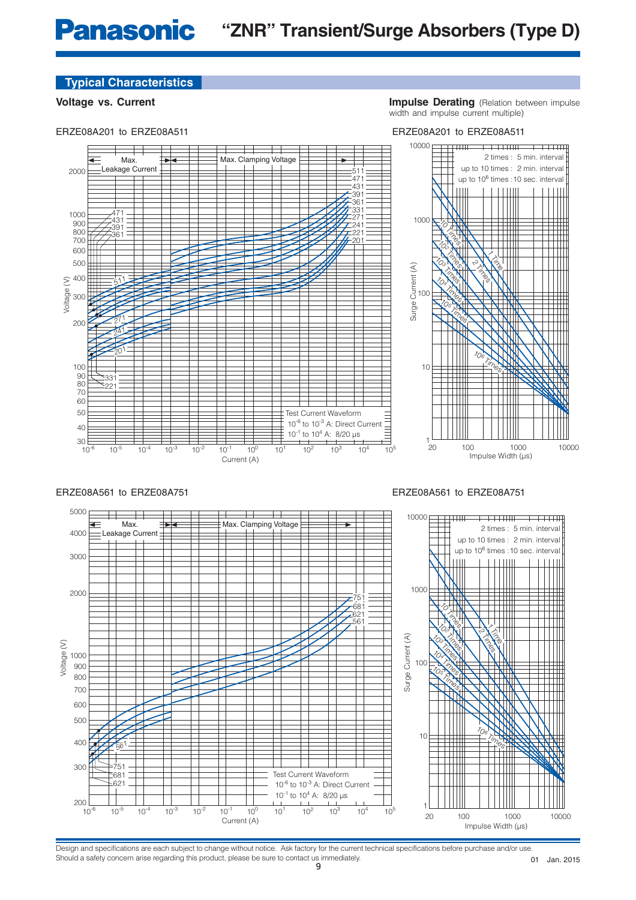#### ERZE08A201 to ERZE08A511

**Voltage vs. Current Impulse Derating** (Relation between impulse width and impulse current multiple)

ERZE08A201 to ERZE08A511





Design and specifications are each subject to change without notice. Ask factory for the current technical specifications before purchase and/or use. Should a safety concern arise regarding this product, please be sure to contact us immediately.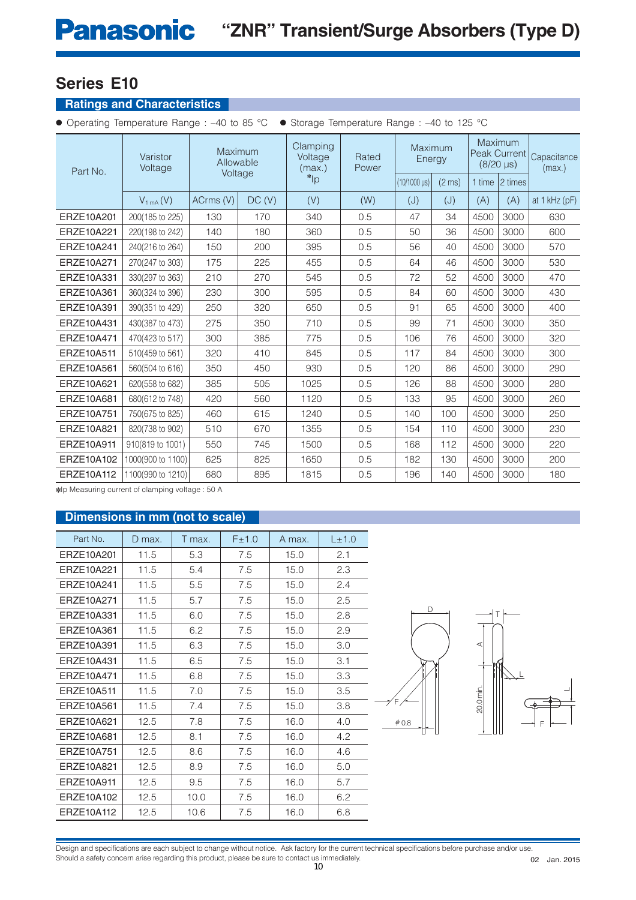## **Ratings and Characteristics**

● Operating Temperature Range : –40 to 85 °C ● Storage Temperature Range : –40 to 125 °C

| Part No.   | Varistor<br>Voltage | Maximum<br>Allowable<br>Voltage |       | Clamping<br>Voltage<br>(max.) | Rated<br>Power | Maximum<br>Energy   |                  |        | <b>Maximum</b><br>Peak Current<br>$(8/20 \,\mu s)$ | Capacitance<br>(max.) |
|------------|---------------------|---------------------------------|-------|-------------------------------|----------------|---------------------|------------------|--------|----------------------------------------------------|-----------------------|
|            |                     |                                 |       | $\sup$                        |                | $(10/1000 \,\mu s)$ | $(2 \text{ ms})$ | 1 time | 12 times                                           |                       |
|            | $V_{1mA}(V)$        | ACrms (V)                       | DC(V) | (V)                           | (W)            | (J)                 | (J)              | (A)    | (A)                                                | at 1 kHz (pF)         |
| ERZE10A201 | 200(185 to 225)     | 130                             | 170   | 340                           | 0.5            | 47                  | 34               | 4500   | 3000                                               | 630                   |
| ERZE10A221 | 220(198 to 242)     | 140                             | 180   | 360                           | 0.5            | 50                  | 36               | 4500   | 3000                                               | 600                   |
| ERZE10A241 | 240(216 to 264)     | 150                             | 200   | 395                           | 0.5            | 56                  | 40               | 4500   | 3000                                               | 570                   |
| ERZE10A271 | 270(247 to 303)     | 175                             | 225   | 455                           | 0.5            | 64                  | 46               | 4500   | 3000                                               | 530                   |
| ERZE10A331 | 330(297 to 363)     | 210                             | 270   | 545                           | 0.5            | 72                  | 52               | 4500   | 3000                                               | 470                   |
| ERZE10A361 | 360(324 to 396)     | 230                             | 300   | 595                           | 0.5            | 84                  | 60               | 4500   | 3000                                               | 430                   |
| ERZE10A391 | 390(351 to 429)     | 250                             | 320   | 650                           | 0.5            | 91                  | 65               | 4500   | 3000                                               | 400                   |
| ERZE10A431 | 430(387 to 473)     | 275                             | 350   | 710                           | 0.5            | 99                  | 71               | 4500   | 3000                                               | 350                   |
| ERZE10A471 | 470(423 to 517)     | 300                             | 385   | 775                           | 0.5            | 106                 | 76               | 4500   | 3000                                               | 320                   |
| ERZE10A511 | 510(459 to 561)     | 320                             | 410   | 845                           | 0.5            | 117                 | 84               | 4500   | 3000                                               | 300                   |
| ERZE10A561 | 560(504 to 616)     | 350                             | 450   | 930                           | 0.5            | 120                 | 86               | 4500   | 3000                                               | 290                   |
| ERZE10A621 | 620(558 to 682)     | 385                             | 505   | 1025                          | 0.5            | 126                 | 88               | 4500   | 3000                                               | 280                   |
| ERZE10A681 | 680(612 to 748)     | 420                             | 560   | 1120                          | 0.5            | 133                 | 95               | 4500   | 3000                                               | 260                   |
| ERZE10A751 | 750(675 to 825)     | 460                             | 615   | 1240                          | 0.5            | 140                 | 100              | 4500   | 3000                                               | 250                   |
| ERZE10A821 | 820(738 to 902)     | 510                             | 670   | 1355                          | 0.5            | 154                 | 110              | 4500   | 3000                                               | 230                   |
| ERZE10A911 | 910(819 to 1001)    | 550                             | 745   | 1500                          | 0.5            | 168                 | 112              | 4500   | 3000                                               | 220                   |
| ERZE10A102 | 1000(900 to 1100)   | 625                             | 825   | 1650                          | 0.5            | 182                 | 130              | 4500   | 3000                                               | 200                   |
| ERZE10A112 | 1100(990 to 1210)   | 680                             | 895   | 1815                          | 0.5            | 196                 | 140              | 4500   | 3000                                               | 180                   |

✽Ip Measuring current of clamping voltage : 50 A

## **Dimensions in mm (not to scale)**

| Part No.   | D max. | T max. | F±1.0 | A max. | L±1.0 |
|------------|--------|--------|-------|--------|-------|
| ERZE10A201 | 11.5   | 5.3    | 7.5   | 15.0   | 2.1   |
| ERZE10A221 | 11.5   | 5.4    | 7.5   | 15.0   | 2.3   |
| ERZE10A241 | 11.5   | 5.5    | 7.5   | 15.0   | 2.4   |
| ERZE10A271 | 11.5   | 5.7    | 7.5   | 15.0   | 2.5   |
| ERZE10A331 | 11.5   | 6.0    | 7.5   | 15.0   | 2.8   |
| ERZE10A361 | 11.5   | 6.2    | 7.5   | 15.0   | 2.9   |
| ERZE10A391 | 11.5   | 6.3    | 7.5   | 15.0   | 3.0   |
| FR7F10A431 | 11.5   | 6.5    | 7.5   | 15.0   | 3.1   |
| FR7F10A471 | 11.5   | 6.8    | 7.5   | 15.0   | 3.3   |
| ERZE10A511 | 11.5   | 7.0    | 7.5   | 15.0   | 3.5   |
| ERZE10A561 | 11.5   | 7.4    | 7.5   | 15.0   | 3.8   |
| ERZE10A621 | 12.5   | 7.8    | 7.5   | 16.0   | 4.0   |
| ERZE10A681 | 12.5   | 8.1    | 7.5   | 16.0   | 4.2   |
| ERZE10A751 | 12.5   | 8.6    | 7.5   | 16.0   | 4.6   |
| ERZE10A821 | 12.5   | 8.9    | 7.5   | 16.0   | 5.0   |
| ERZE10A911 | 12.5   | 9.5    | 7.5   | 16.0   | 5.7   |
| ERZE10A102 | 12.5   | 10.0   | 7.5   | 16.0   | 6.2   |
| ERZE10A112 | 12.5   | 10.6   | 7.5   | 16.0   | 6.8   |





Design and specifications are each subject to change without notice. Ask factory for the current technical specifications before purchase and/or use. Should a safety concern arise regarding this product, please be sure to contact us immediately.

10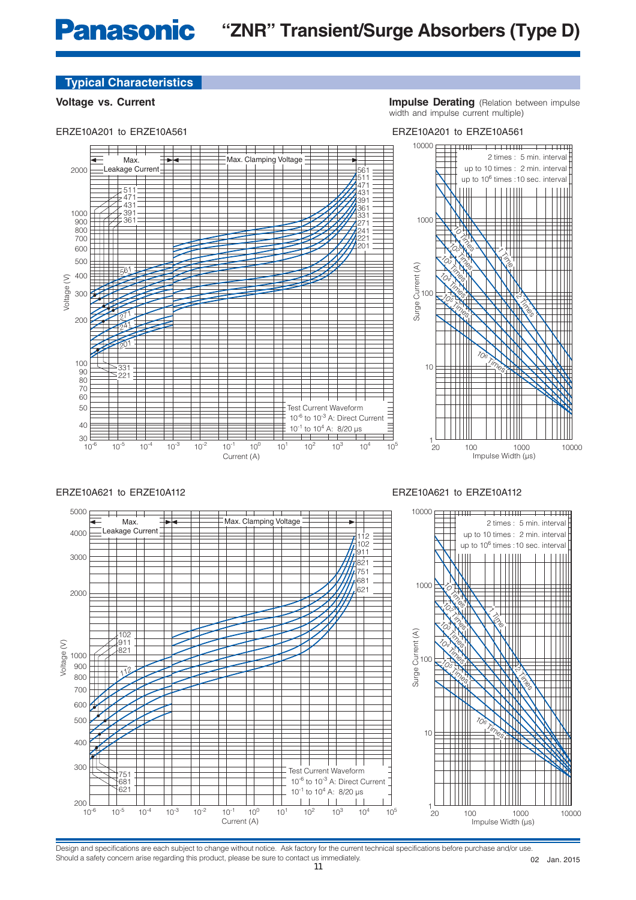ERZE10A201 to ERZE10A561

**Voltage vs. Current Impulse Derating** (Relation between impulse width and impulse current multiple)

ERZE10A201 to ERZE10A561



#### ERZE10A621 to ERZE10A112



### ERZE10A621 to ERZE10A112

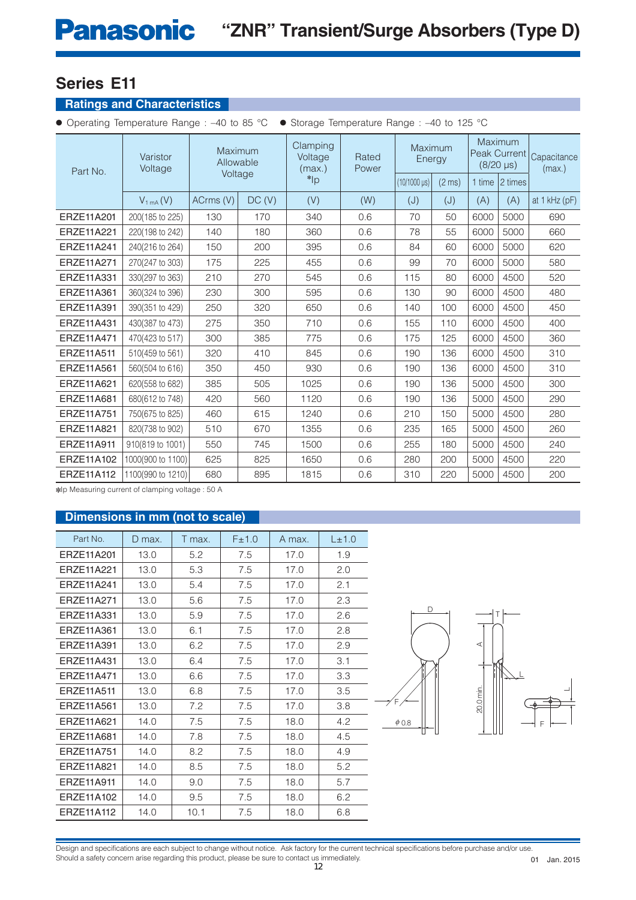## **Ratings and Characteristics**

● Operating Temperature Range : –40 to 85 °C ● Storage Temperature Range : –40 to 125 °C

| Part No.   | Varistor<br>Voltage | Maximum<br>Allowable<br>Voltage |       | Clamping<br>Voltage<br>(max.) | Rated<br>Power | Maximum<br>Energy       |                  |        | <b>Maximum</b><br>Peak Current<br>$(8/20 \,\mu s)$ | Capacitance<br>(max.) |
|------------|---------------------|---------------------------------|-------|-------------------------------|----------------|-------------------------|------------------|--------|----------------------------------------------------|-----------------------|
|            |                     |                                 |       | $*$ <sub>lp</sub>             |                | $(10/1000 \,\text{µs})$ | $(2 \text{ ms})$ | 1 time | 12 times                                           |                       |
|            | $V_{1mA}(V)$        | ACrms (V)                       | DC(V) | (V)                           | (W)            | (J)                     | (J)              | (A)    | (A)                                                | at $1$ kHz ( $pF$ )   |
| ERZE11A201 | 200(185 to 225)     | 130                             | 170   | 340                           | 0.6            | 70                      | 50               | 6000   | 5000                                               | 690                   |
| ERZE11A221 | 220(198 to 242)     | 140                             | 180   | 360                           | 0.6            | 78                      | 55               | 6000   | 5000                                               | 660                   |
| ERZE11A241 | 240(216 to 264)     | 150                             | 200   | 395                           | 0.6            | 84                      | 60               | 6000   | 5000                                               | 620                   |
| ERZE11A271 | 270(247 to 303)     | 175                             | 225   | 455                           | 0.6            | 99                      | 70               | 6000   | 5000                                               | 580                   |
| ERZE11A331 | 330(297 to 363)     | 210                             | 270   | 545                           | 0.6            | 115                     | 80               | 6000   | 4500                                               | 520                   |
| ERZE11A361 | 360(324 to 396)     | 230                             | 300   | 595                           | 0.6            | 130                     | 90               | 6000   | 4500                                               | 480                   |
| ERZE11A391 | 390(351 to 429)     | 250                             | 320   | 650                           | 0.6            | 140                     | 100              | 6000   | 4500                                               | 450                   |
| ERZE11A431 | 430(387 to 473)     | 275                             | 350   | 710                           | 0.6            | 155                     | 110              | 6000   | 4500                                               | 400                   |
| ERZE11A471 | 470(423 to 517)     | 300                             | 385   | 775                           | 0.6            | 175                     | 125              | 6000   | 4500                                               | 360                   |
| ERZE11A511 | 510(459 to 561)     | 320                             | 410   | 845                           | 0.6            | 190                     | 136              | 6000   | 4500                                               | 310                   |
| ERZE11A561 | 560(504 to 616)     | 350                             | 450   | 930                           | 0.6            | 190                     | 136              | 6000   | 4500                                               | 310                   |
| ERZE11A621 | 620(558 to 682)     | 385                             | 505   | 1025                          | 0.6            | 190                     | 136              | 5000   | 4500                                               | 300                   |
| ERZE11A681 | 680(612 to 748)     | 420                             | 560   | 1120                          | 0.6            | 190                     | 136              | 5000   | 4500                                               | 290                   |
| ERZE11A751 | 750(675 to 825)     | 460                             | 615   | 1240                          | 0.6            | 210                     | 150              | 5000   | 4500                                               | 280                   |
| ERZE11A821 | 820(738 to 902)     | 510                             | 670   | 1355                          | 0.6            | 235                     | 165              | 5000   | 4500                                               | 260                   |
| ERZE11A911 | 910(819 to 1001)    | 550                             | 745   | 1500                          | 0.6            | 255                     | 180              | 5000   | 4500                                               | 240                   |
| ERZE11A102 | 1000(900 to 1100)   | 625                             | 825   | 1650                          | 0.6            | 280                     | 200              | 5000   | 4500                                               | 220                   |
| ERZE11A112 | 1100(990 to 1210)   | 680                             | 895   | 1815                          | 0.6            | 310                     | 220              | 5000   | 4500                                               | 200                   |

✽Ip Measuring current of clamping voltage : 50 A

## **Dimensions in mm (not to scale)**

| Part No.   | D max. | T max. | F±1.0 | A max. | L±1.0 |
|------------|--------|--------|-------|--------|-------|
| ERZE11A201 | 13.0   | 5.2    | 7.5   | 17.0   | 1.9   |
| ERZE11A221 | 13.0   | 5.3    | 7.5   | 17.0   | 2.0   |
| FR7F11A241 | 13.0   | 5.4    | 7.5   | 17.0   | 2.1   |
| ERZE11A271 | 13.0   | 5.6    | 7.5   | 17.0   | 2.3   |
| ERZE11A331 | 13.0   | 5.9    | 7.5   | 17.0   | 2.6   |
| ERZE11A361 | 13.0   | 6.1    | 7.5   | 17.0   | 2.8   |
| ERZE11A391 | 13.0   | 6.2    | 7.5   | 17.0   | 2.9   |
| FR7F11A431 | 13.0   | 6.4    | 7.5   | 17.0   | 3.1   |
| FR7F11A471 | 13.0   | 6.6    | 7.5   | 17.0   | 3.3   |
| ERZE11A511 | 13.0   | 6.8    | 7.5   | 17.0   | 3.5   |
| ERZE11A561 | 13.0   | 7.2    | 7.5   | 17.0   | 3.8   |
| ERZE11A621 | 14.0   | 7.5    | 7.5   | 18.0   | 4.2   |
| ERZE11A681 | 14.0   | 7.8    | 7.5   | 18.0   | 4.5   |
| ERZE11A751 | 14.0   | 8.2    | 7.5   | 18.0   | 4.9   |
| FR7F11A821 | 14.0   | 8.5    | 7.5   | 18.0   | 5.2   |
| ERZE11A911 | 14.0   | 9.0    | 7.5   | 18.0   | 5.7   |
| ERZE11A102 | 14.0   | 9.5    | 7.5   | 18.0   | 6.2   |
| ERZE11A112 | 14.0   | 10.1   | 7.5   | 18.0   | 6.8   |



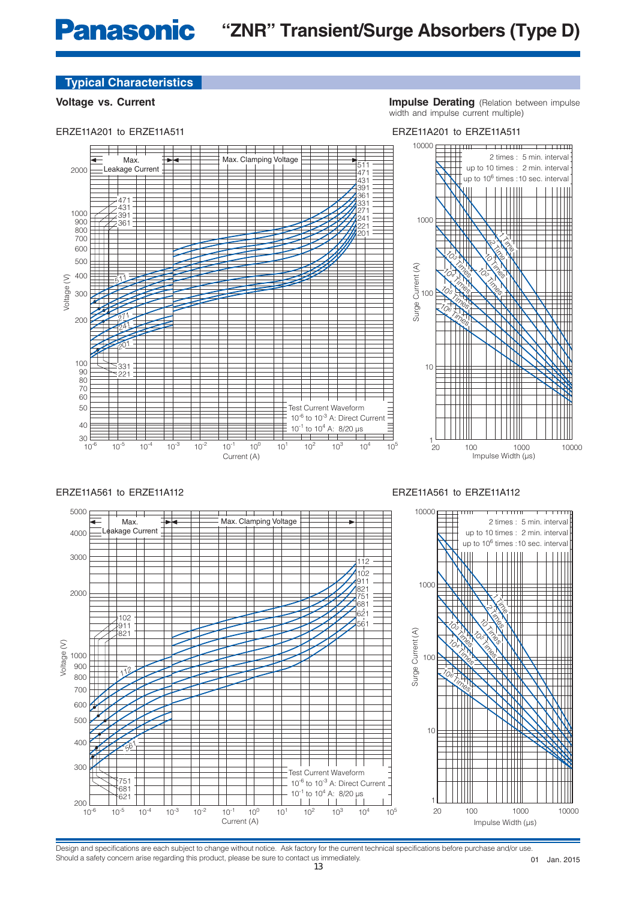ERZE11A201 to ERZE11A511

**Voltage vs. Current Impulse Derating** (Relation between impulse width and impulse current multiple)



### ERZE11A561 to ERZE11A112



ERZE11A561 to ERZE11A112

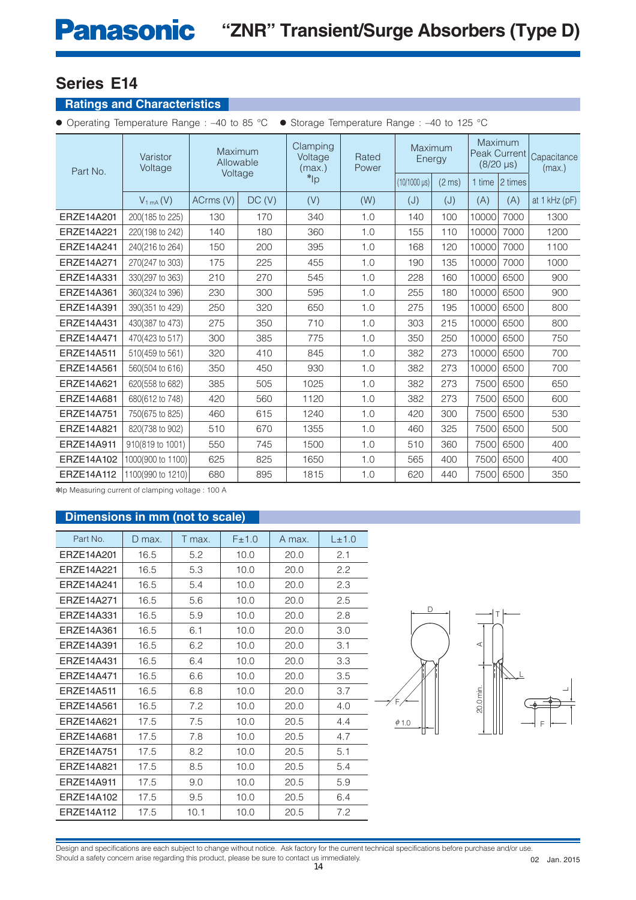## **Ratings and Characteristics**

● Operating Temperature Range : –40 to 85 °C ● Storage Temperature Range : –40 to 125 °C

| Part No.   | Varistor<br>Voltage | Maximum<br>Allowable<br>Voltage |       | Clamping<br>Voltage<br>(max.) | Rated<br>Power | Maximum<br>Energy       |                  |        | <b>Maximum</b><br>Peak Current<br>$(8/20 \,\mu s)$ | Capacitance<br>(max.) |
|------------|---------------------|---------------------------------|-------|-------------------------------|----------------|-------------------------|------------------|--------|----------------------------------------------------|-----------------------|
|            |                     |                                 |       | $\sup$                        |                | $(10/1000 \,\text{µs})$ | $(2 \text{ ms})$ | 1 time | 12 times                                           |                       |
|            | $V_{1mA}(V)$        | ACrms (V)                       | DC(V) | (V)                           | (W)            | (J)                     | (J)              | (A)    | (A)                                                | at 1 kHz (pF)         |
| ERZE14A201 | 200(185 to 225)     | 130                             | 170   | 340                           | 1.0            | 140                     | 100              | 10000  | 7000                                               | 1300                  |
| ERZE14A221 | 220(198 to 242)     | 140                             | 180   | 360                           | 1.0            | 155                     | 110              | 10000  | 7000                                               | 1200                  |
| ERZE14A241 | 240(216 to 264)     | 150                             | 200   | 395                           | 1.0            | 168                     | 120              | 10000  | 7000                                               | 1100                  |
| ERZE14A271 | 270(247 to 303)     | 175                             | 225   | 455                           | 1.0            | 190                     | 135              | 10000  | 7000                                               | 1000                  |
| ERZE14A331 | 330(297 to 363)     | 210                             | 270   | 545                           | 1.0            | 228                     | 160              | 10000  | 6500                                               | 900                   |
| ERZE14A361 | 360(324 to 396)     | 230                             | 300   | 595                           | 1.0            | 255                     | 180              | 10000  | 6500                                               | 900                   |
| ERZE14A391 | 390(351 to 429)     | 250                             | 320   | 650                           | 1.0            | 275                     | 195              | 10000  | 6500                                               | 800                   |
| ERZE14A431 | 430(387 to 473)     | 275                             | 350   | 710                           | 1.0            | 303                     | 215              | 10000  | 6500                                               | 800                   |
| ERZE14A471 | 470(423 to 517)     | 300                             | 385   | 775                           | 1.0            | 350                     | 250              | 10000  | 6500                                               | 750                   |
| ERZE14A511 | 510(459 to 561)     | 320                             | 410   | 845                           | 1.0            | 382                     | 273              | 10000  | 6500                                               | 700                   |
| ERZE14A561 | 560(504 to 616)     | 350                             | 450   | 930                           | 1.0            | 382                     | 273              | 10000  | 6500                                               | 700                   |
| ERZE14A621 | 620(558 to 682)     | 385                             | 505   | 1025                          | 1.0            | 382                     | 273              | 7500   | 6500                                               | 650                   |
| ERZE14A681 | 680(612 to 748)     | 420                             | 560   | 1120                          | 1.0            | 382                     | 273              | 7500   | 6500                                               | 600                   |
| ERZE14A751 | 750(675 to 825)     | 460                             | 615   | 1240                          | 1.0            | 420                     | 300              | 7500   | 6500                                               | 530                   |
| ERZE14A821 | 820(738 to 902)     | 510                             | 670   | 1355                          | 1.0            | 460                     | 325              | 7500   | 6500                                               | 500                   |
| ERZE14A911 | 910(819 to 1001)    | 550                             | 745   | 1500                          | 1.0            | 510                     | 360              | 7500   | 6500                                               | 400                   |
| ERZE14A102 | 1000(900 to 1100)   | 625                             | 825   | 1650                          | 1.0            | 565                     | 400              | 7500   | 6500                                               | 400                   |
| ERZE14A112 | 1100(990 to 1210)   | 680                             | 895   | 1815                          | 1.0            | 620                     | 440              | 7500   | 6500                                               | 350                   |

✽Ip Measuring current of clamping voltage : 100 A

## **Dimensions in mm (not to scale)**

| Part No.   | D max. | T max. | F±1.0 | A max. | L±1.0 |
|------------|--------|--------|-------|--------|-------|
| ERZE14A201 | 16.5   | 5.2    | 10.0  | 20.0   | 2.1   |
| FR7F14A221 | 16.5   | 5.3    | 10.0  | 20.0   | 2.2   |
| FR7F14A241 | 16.5   | 5.4    | 10.0  | 20.0   | 2.3   |
| FR7F14A271 | 16.5   | 5.6    | 10.0  | 20.0   | 2.5   |
| FR7F14A331 | 16.5   | 5.9    | 10.0  | 20.0   | 2.8   |
| FR7F14A361 | 16.5   | 6.1    | 10.0  | 20.0   | 3.0   |
| FR7F14A391 | 16.5   | 6.2    | 10.0  | 20.0   | 3.1   |
| FR7F14A431 | 16.5   | 6.4    | 10.0  | 20.0   | 3.3   |
| FR7F14A471 | 16.5   | 6.6    | 10.0  | 20.0   | 3.5   |
| FR7F14A511 | 16.5   | 6.8    | 10.0  | 20.0   | 3.7   |
| ERZE14A561 | 16.5   | 7.2    | 10.0  | 20.0   | 4.0   |
| ERZE14A621 | 17.5   | 7.5    | 10.0  | 20.5   | 4.4   |
| ERZE14A681 | 17.5   | 7.8    | 10.0  | 20.5   | 4.7   |
| FR7F14A751 | 17.5   | 8.2    | 10.0  | 20.5   | 5.1   |
| FR7F14A821 | 17.5   | 8.5    | 10.0  | 20.5   | 5.4   |
| ERZE14A911 | 17.5   | 9.0    | 10.0  | 20.5   | 5.9   |
| FR7F14A102 | 17.5   | 9.5    | 10.0  | 20.5   | 6.4   |
| ERZE14A112 | 17.5   | 10.1   | 10.0  | 20.5   | 7.2   |



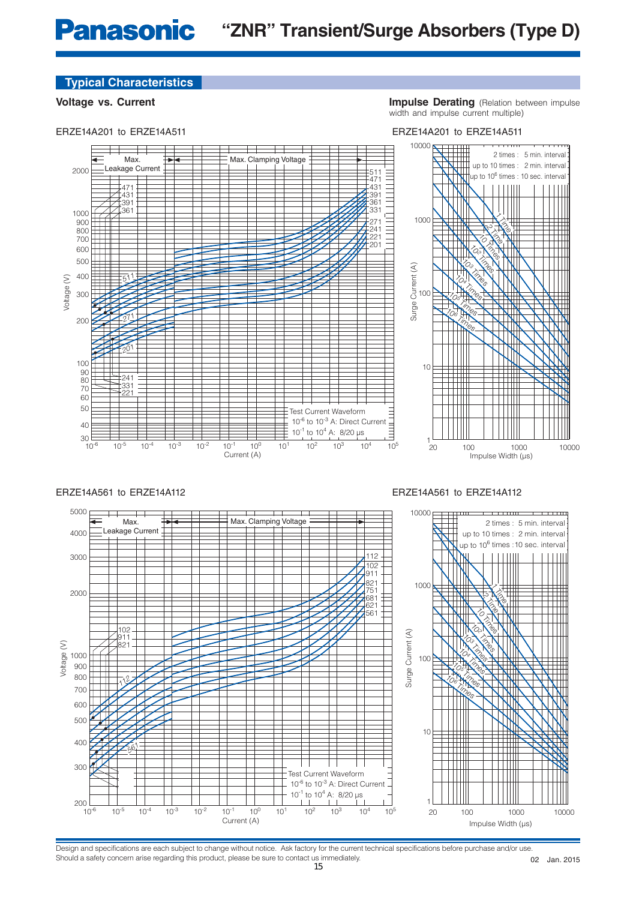ERZE14A201 to ERZE14A511

**Voltage vs. Current Impulse Derating** (Relation between impulse width and impulse current multiple)

ERZE14A561 to ERZE14A112



### ERZE14A561 to ERZE14A112



Design and specifications are each subject to change without notice. Ask factory for the current technical specifications before purchase and/or use. Should a safety concern arise regarding this product, please be sure to contact us immediately. 

Jan. 2015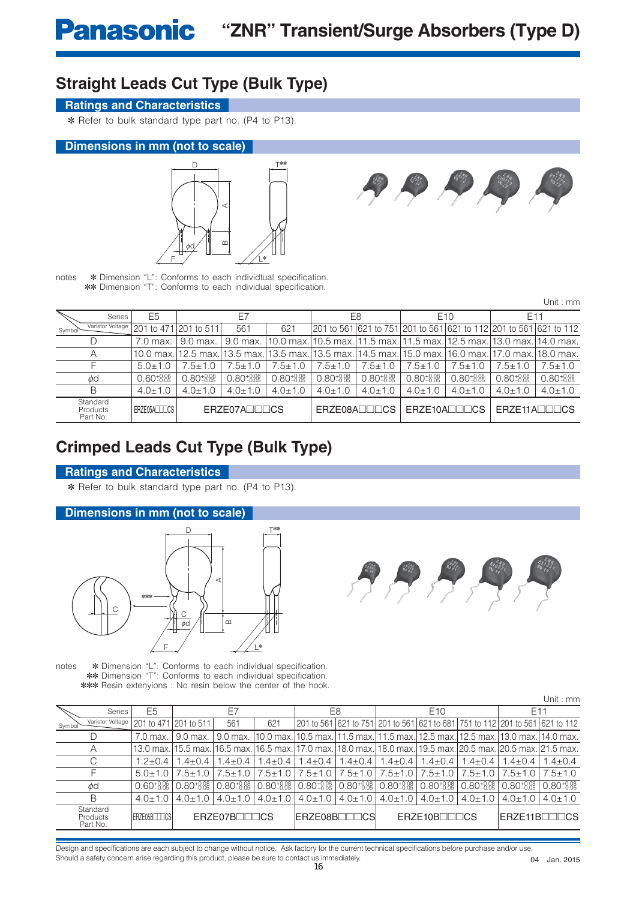## **Straight Leads Cut Type (Bulk Type)**

## **Ratings and Characteristics**

✽ Refer to bulk standard type part no. (P4 to P13).

### **Dimensions in mm (not to scale)**





notes  $*$  Dimension "L": Conforms to each individtual specification. ✽✽ Dimension "T": Conforms to each individual specification.

| Unit : mm |  |  |
|-----------|--|--|
|           |  |  |

| <b>Series</b>                    | E <sub>5</sub>         | E7                                |                        |                        |                                                                        | E8                     |                        | E <sub>10</sub>            | E11                        |                                                                   |
|----------------------------------|------------------------|-----------------------------------|------------------------|------------------------|------------------------------------------------------------------------|------------------------|------------------------|----------------------------|----------------------------|-------------------------------------------------------------------|
| Varistor Voltage<br>Symbol       |                        | 201 to 471 201 to 511             | 561                    | 621                    |                                                                        |                        |                        |                            |                            | 201 to 561 621 to 751 201 to 561 621 to 112 201 to 561 621 to 112 |
|                                  | 7.0 max.               | $9.0$ max.                        | 9.0 max. I             |                        | 10.0 max.10.5 max.11.5 max.11.5 max.12.5 max.13.0 max.114.0 max.       |                        |                        |                            |                            |                                                                   |
| Α                                | 10.0 max.              | 12.5 max.113.5 max.l <sup>.</sup> |                        |                        | l13.5 max.l13.5 max.l14.5 max.l15.0 max.l16.0 max.l17.0 max.l18.0 max. |                        |                        |                            |                            |                                                                   |
|                                  | $5.0 + 1.0$            | $5+1.0$                           | $7.5 \pm 1.0$          | $7.5 \pm 1.0$          | $.5 + 1.0$                                                             | $7.5 \pm 1.0$          | $.5 \pm 1.0$           | $7.5 \pm 1.0$              | $7.5 + 1.0$                | $.5 \pm 1.0$                                                      |
| φd                               | $0.60^{+0.06}_{-0.05}$ | $0.80^{+0.08}_{-0.05}$            | $0.80^{+0.08}_{-0.05}$ | $0.80^{+0.08}_{-0.05}$ | $0.80^{+0.08}_{-0.05}$                                                 | $0.80^{+0.08}_{-0.05}$ | $0.80^{+0.08}_{-0.05}$ | $0.80_{-0.05}^{+0.08}$     | $0.80^{+0.08}_{-0.05}$     | $0.80^{+0.08}_{-0.05}$                                            |
| Β                                | $4.0 \pm 1.0$          | $4.0 \pm 1.0$                     | $4.0 \pm 1.0$          | $4.0 \pm 1.0$          | $4.0 \pm 1.0$                                                          | $4.0 \pm 1.0$          | $4.0 \pm 1.0$          | $4.0 \pm 1.0$              | $4.0 \pm 1.0$              | $4.0 \pm 1.0$                                                     |
| Standard<br>Products<br>Part No. | FRZE05ALLICS           |                                   | ERZE07ANNOS            |                        | $F$ RZE08A $\P$ $\P$                                                   |                        |                        | ERZE10A <sub>IIII</sub> CS | $F$ RZE11A $\P$ $\Pi$ $CS$ |                                                                   |

## **Crimped Leads Cut Type (Bulk Type)**

### **Ratings and Characteristics**

✽ Refer to bulk standard type part no. (P4 to P13).

### **Dimensions in mm (not to scale)**





notes  $*$  Dimension "L": Conforms to each individual specification. ✽✽ Dimension "T": Conforms to each individual specification. ✽✽✽ Resin extenyions : No resin below the center of the hook.

|                                  |                        |                        |                                                                                                               |                        |               |                                                |                                                                                 |                        |                               |                        | Unit : mm                                                                    |  |
|----------------------------------|------------------------|------------------------|---------------------------------------------------------------------------------------------------------------|------------------------|---------------|------------------------------------------------|---------------------------------------------------------------------------------|------------------------|-------------------------------|------------------------|------------------------------------------------------------------------------|--|
| <b>Series</b>                    | E <sub>5</sub>         |                        | F7                                                                                                            |                        |               | E8                                             | E <sub>10</sub>                                                                 |                        |                               | E <sub>11</sub>        |                                                                              |  |
| Varistor Voltage<br>Symbol       |                        | 201 to 471 201 to 511  | 561                                                                                                           | 621                    |               |                                                |                                                                                 |                        |                               |                        | 201 to 561 621 to 751 201 to 561 621 to 681 751 to 112 201 to 561 621 to 112 |  |
|                                  | 7.0 max.               | 9.0 max.               | 9.0 max.                                                                                                      |                        |               |                                                | 10.0 max. 10.5 max. 11.5 max. 11.5 max. 12.5 max. 12.5 max. 13.0 max. 14.0 max. |                        |                               |                        |                                                                              |  |
| Α                                |                        |                        | 13.0 max. 15.5 max. 16.5 max. 16.5 max. 17.0 max. 18.0 max. 18.0 max. 19.5 max. 20.5 max. 20.5 max. 21.5 max. |                        |               |                                                |                                                                                 |                        |                               |                        |                                                                              |  |
|                                  | $1.2 \pm 0.4$          | $1.4 + 0.4$            | $1.4 \pm 0.4$                                                                                                 | $.4 \pm 0.4$           | $1.4 \pm 0.4$ | $1.4 \pm 0.4$                                  | $1.4 \pm 0.4$                                                                   | $1.4 \pm 0.4$          | $1.4 \pm 0.4$                 | $1.4 + 0.4$            | $1.4 \pm 0.4$                                                                |  |
|                                  | $5.0 \pm 1.0$          | $7.5 \pm 1.0$          | $7.5 \pm 1.0$                                                                                                 | $7.5 \pm 1.0$          | $7.5 \pm 1.0$ | $7.5 \pm 1.0$                                  | $7.5 \pm 1.0$                                                                   |                        | $7.5 \pm 1.0$   $7.5 \pm 1.0$ | $7.5 \pm 1.0$          | $7.5 \pm 1.0$                                                                |  |
| φd                               | $0.60^{+0.06}_{-0.05}$ | $0.80^{+0.08}_{-0.05}$ | $0.80^{+0.08}_{-0.05}$                                                                                        | $0.80^{+0.08}_{-0.05}$ |               | $0.80_{-0.05}^{+0.08}$ 0.80 $_{-0.05}^{+0.08}$ | $0.80_{-0.05}^{+0.08}$                                                          | $0.80^{+0.08}_{-0.05}$ | $0.80^{+0.08}_{-0.05}$        | $0.80^{+0.08}_{-0.05}$ | $0.80^{+0.08}_{-0.05}$                                                       |  |
| В                                | $4.0 \pm 1.0$          | $4.0 \pm 1.0$          | $4.0 \pm 1.0$                                                                                                 | $4.0 \pm 1.0$          | $4.0 \pm 1.0$ | $4.0 \pm 1.0$                                  | $4.0 \pm 1.0$                                                                   | $4.0 \pm 1.0$          | $4.0 \pm 1.0$                 | $4.0 \pm 1.0$          | $4.0 \pm 1.0$                                                                |  |
| Standard<br>Products<br>Part No. | ERZE05BITICS           |                        | ERZE07BILICS                                                                                                  |                        |               | ERZE08B <sub>I</sub> IIICS                     |                                                                                 | ERZE10BOODCS           |                               |                        | ERZE11BILICS                                                                 |  |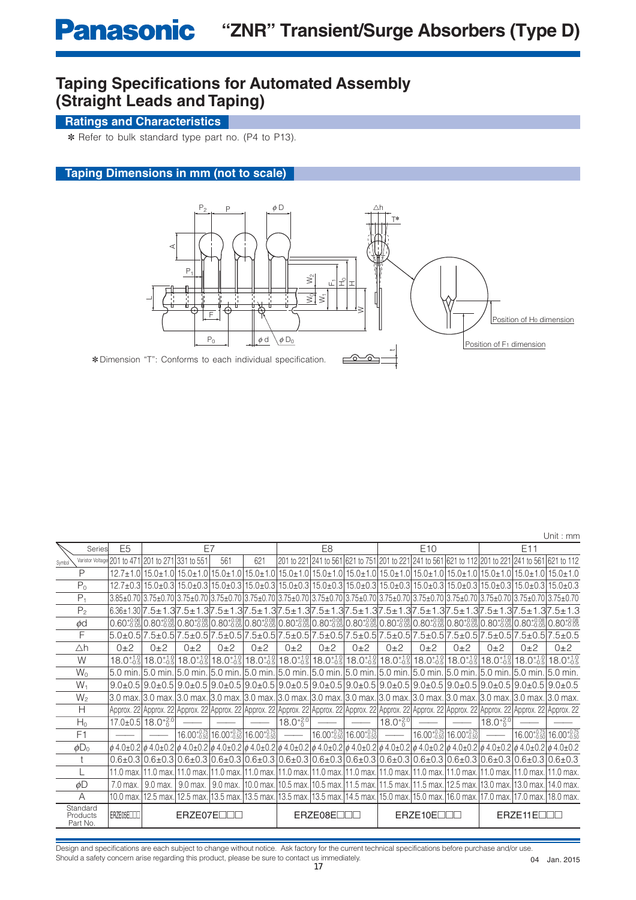## **Taping Specifications for Automated Assembly (Straight Leads and Taping)**

## **Ratings and Characteristics**

✽ Refer to bulk standard type part no. (P4 to P13).

## **Taping Dimensions in mm (not to scale)**



|                                  |        |                             |                               |            |                                                                                                              |       |                    |                |                                                  |                                                                                                                                                                |                 |                                                  |                      |                                                                                                                                                                                                                                                                                                                          | Unit: mm                                         |
|----------------------------------|--------|-----------------------------|-------------------------------|------------|--------------------------------------------------------------------------------------------------------------|-------|--------------------|----------------|--------------------------------------------------|----------------------------------------------------------------------------------------------------------------------------------------------------------------|-----------------|--------------------------------------------------|----------------------|--------------------------------------------------------------------------------------------------------------------------------------------------------------------------------------------------------------------------------------------------------------------------------------------------------------------------|--------------------------------------------------|
|                                  | Series | E <sub>5</sub>              |                               | E7         |                                                                                                              |       |                    | E <sub>8</sub> |                                                  |                                                                                                                                                                | E <sub>10</sub> |                                                  |                      | E11                                                                                                                                                                                                                                                                                                                      |                                                  |
| Symbol                           |        | Varistor Voltage 201 to 471 | 201 to 271 331 to 551         |            | 561                                                                                                          | 621   |                    |                |                                                  |                                                                                                                                                                |                 |                                                  |                      | 201 to 221 241 to 561 621 to 751 201 to 221 241 to 561 621 to 112 201 to 221 241 to 561 621 to 112                                                                                                                                                                                                                       |                                                  |
| P                                |        |                             |                               |            |                                                                                                              |       |                    |                |                                                  |                                                                                                                                                                |                 |                                                  |                      | 12.7±1.0 15.0±1.0 15.0±1.0 15.0±1.0 15.0±1.0 15.0±1.0 15.0±1.0 15.0±1.0 15.0±1.0 15.0±1.0 15.0±1.0 15.0±1.0 15.0±1.0 15.0±1.0 15.0±1.0 15.0±1.0 15.0±1.0                                                                                                                                                                 |                                                  |
| $P_0$                            |        |                             |                               |            |                                                                                                              |       |                    |                |                                                  |                                                                                                                                                                |                 |                                                  |                      | 12.7±0.3 15.0±0.3 15.0±0.3 15.0±0.3 15.0±0.3 15.0±0.3 15.0±0.3 15.0±0.3 15.0±0.3 15.0±0.3 15.0±0.3 15.0±0.3 15.0±0.3 15.0±0.3 15.0±0.3 15.0±0.3 15.0±0.3 15.0±0.3 15.0±0.3 15.0±0.3 15.0±0.3 15.0±0.3 15.0±0.3 15.0±0.3 15.0±0                                                                                           |                                                  |
| $P_1$                            |        |                             |                               |            |                                                                                                              |       |                    |                |                                                  |                                                                                                                                                                |                 |                                                  |                      | 3.85±0.70 3.75±0.70 3.75±0.70 3.75±0.70 3.75±0.70 3.75±0.70 3.75±0.70 3.75±0.70 3.75±0.70 3.75±0.70 3.75±0.70 3.75±0.70 3.75±0.70 3.75±0.70 3.75±0.70 3.75±0.70 3.75±0.70 3.75±0.70 3.75±0.70 3.75±0.70 3.75±0.70 3.75±0.70 3.                                                                                           |                                                  |
| P <sub>2</sub>                   |        |                             |                               |            |                                                                                                              |       |                    |                |                                                  |                                                                                                                                                                |                 |                                                  |                      | $6.36\pm1.30[7.5\pm1.3]7.5\pm1.3]7.5\pm1.3[7.5\pm1.3]7.5\pm1.3[7.5\pm1.3]7.5\pm1.3[7.5\pm1.3]7.5\pm1.3[7.5\pm1.3]7.5\pm1.3[7.5\pm1.3]7.5\pm1.3[7.5\pm1.3]7.5\pm1.3[7.5\pm1.3]$                                                                                                                                           |                                                  |
| ød                               |        |                             |                               |            |                                                                                                              |       |                    |                |                                                  |                                                                                                                                                                |                 |                                                  |                      | 0.80±{}{8} 0.80±{}{8} 0.80±{}{8} 0.80±{}{8}}}}}} \$2,500±{}{8}}{8,800±{}{8} 0.80±{}{8} 0.80±{}{8} 0.80±{}{8}}}}}} \$1,500±{}{8} 0.80±{}{8} 0.80±{}{8} 0.80±{}{8}}}}} \$1,500±{}{8} }} \$1,500±{}{8} }} \$1,500±{}{8} }} \$1,500±{}{8}                                                                                    |                                                  |
| F                                |        |                             |                               |            |                                                                                                              |       |                    |                |                                                  |                                                                                                                                                                |                 |                                                  |                      | 5.0±0.5 7.5±0.5 7.5±0.5 7.5±0.5 7.5±0.5 7.5±0.5 7.5±0.5 7.5±0.5 7.5±0.5 7.5±0.5 7.5±0.5 7.5±0.5 7.5±0.5 7.5±0.5                                                                                                                                                                                                          |                                                  |
| Δh                               |        | $0+2$                       | $0+2$                         | $0+2$      | $0\pm 2$                                                                                                     | $0+2$ | $0\pm 2$           | $0+2$          | $0\pm 2$                                         | $0\pm 2$                                                                                                                                                       | $0+2$           | $0\pm 2$                                         | $0+2$                | $0\pm 2$                                                                                                                                                                                                                                                                                                                 | $0\pm 2$                                         |
| W                                |        |                             |                               |            | $18.0_{-0.5}^{+1.0}$ 18.0 $_{-0.5}^{+1.0}$ 18.0 $_{-0.5}^{+1.0}$ 18.0 $_{-0.5}^{+1.0}$ 18.0 $_{-0.5}^{+1.0}$ |       |                    |                |                                                  | $18.0^{+1.0}_{-0.5}$   18.0 <sup>+1.0</sup>   18.0 <sup>+1.0</sup>   18.0 <sup>+1.0</sup>   18.0 <sup>+1.0</sup>   18.0 <sup>+1.0</sup>   18.0 <sup>+1.0</sup> |                 |                                                  |                      |                                                                                                                                                                                                                                                                                                                          | $18.0^{+1.0}_{-0.5}$ 18.0 <sup>+1.0</sup>        |
| $W_0$                            |        |                             |                               |            |                                                                                                              |       |                    |                |                                                  |                                                                                                                                                                |                 |                                                  |                      | 5.0 min. 5.0 min. 5.0 min. 5.0 min. 5.0 min. 5.0 min. 5.0 min. 5.0 min. 5.0 min. 5.0 min. 5.0 min. 5.0 min. 5.0 min. 5.0 min. 5.0 min.                                                                                                                                                                                   |                                                  |
| $W_1$                            |        |                             |                               |            |                                                                                                              |       |                    |                |                                                  |                                                                                                                                                                |                 |                                                  |                      | $9.0\pm0.5\left[9.0\pm0.5\right]9.0\pm0.5\left[9.0\pm0.5\right]9.0\pm0.5\left[9.0\pm0.5\right]9.0\pm0.5\left[9.0\pm0.5\right]9.0\pm0.5\left[9.0\pm0.5\right]9.0\pm0.5\left[9.0\pm0.5\right]9.0\pm0.5\left[9.0\pm0.5\right]9.0\pm0.5\left[9.0\pm0.5\right]9.0\pm0.5\left[9.0\pm0.5\right]9.0\pm0.5\left[9.0\pm0.5\right]$ |                                                  |
| $W_2$                            |        |                             |                               |            |                                                                                                              |       |                    |                |                                                  |                                                                                                                                                                |                 |                                                  |                      | 3.0 max. 3.0 max. 3.0 max. 3.0 max. 3.0 max. 3.0 max. 3.0 max. 3.0 max. 3.0 max. 3.0 max. 3.0 max. 3.0 max. 3.0 max. 3.0 max. 3.0 max.                                                                                                                                                                                   |                                                  |
| H                                |        |                             |                               |            |                                                                                                              |       |                    |                |                                                  |                                                                                                                                                                |                 |                                                  |                      | Арргох. 22 Арргох. 22 Арргох. 22 Арргох. 22 Арргох. 22 Арргох. 22 Арргох. 22 Арргох. 22 Арргох. 22 Арргох. 22 Арргох. 22 Арргох. 22 Арргох. 22 Арргох. 22 Арргох. 22 Арргох. 22 Арргох. 22 Арргох. 22 Арргох. 22 Арргох. 22 Ар                                                                                           |                                                  |
| $H_0$                            |        |                             | 17.0±0.5 18.0 <sup>+2.0</sup> |            |                                                                                                              |       | $18.0^{+2.0}_{-6}$ |                |                                                  | $18.0^{+2.0}$                                                                                                                                                  |                 |                                                  | $18.0^{+2.0}_{-0.0}$ |                                                                                                                                                                                                                                                                                                                          |                                                  |
| F1                               |        |                             |                               |            | 16.00 + 0.75 16.00 + 0.75 16.00 + 0.75                                                                       |       |                    |                | $16.00_{-0.50}^{+0.75}$ 16.00 $_{-0.50}^{+0.75}$ |                                                                                                                                                                |                 | $16.00_{-0.50}^{+0.75}$ 16.00 $_{-0.50}^{+0.75}$ |                      |                                                                                                                                                                                                                                                                                                                          | $16.00^{+0.75}_{-0.58}$ 16.00 $^{+0.75}_{-0.58}$ |
| $\phi$ D <sub>0</sub>            |        |                             |                               |            |                                                                                                              |       |                    |                |                                                  |                                                                                                                                                                |                 |                                                  |                      | $\phi$ 4.0±0.2 $\phi$ 4.0±0.2 $\phi$ 4.0±0.2 $\phi$ 4.0±0.2 $\phi$ 4.0±0.2 $\phi$ 4.0±0.2 $\phi$ 4.0±0.2 $\phi$ 4.0±0.2 $\phi$ 4.0±0.2 $\phi$ 4.0±0.2 $\phi$ 4.0±0.2 $\phi$ 4.0±0.2 $\phi$ 4.0±0.2 $\phi$ 4.0±0.2 $\phi$ 4.0±0.2 $\phi$ 4.0±0.2 $\phi$ 4.0±0.2 $\phi$ 4.0±0.2 $\phi$                                     |                                                  |
|                                  |        |                             |                               |            |                                                                                                              |       |                    |                |                                                  |                                                                                                                                                                |                 |                                                  |                      | $0.6\pm0.3[0.6\pm0.3[0.6\pm0.3[0.6\pm0.3[0.6\pm0.3[0.6\pm0.3[0.6\pm0.3[0.6\pm0.3[0.6\pm0.3[0.6\pm0.3[0.6\pm0.3[0.6\pm0.3[0.6\pm0.3[0.6\pm0.3[0.6\pm0.3[0.6\pm0.3[0.6\pm0.3[0.6\pm0.3[0.6\pm0.3[0.6\pm0.3[0.6\pm0.3[0.6\pm0.3[0.6\pm0.3[0.6\pm0.3[0.6\$                                                                   |                                                  |
|                                  |        |                             |                               |            |                                                                                                              |       |                    |                |                                                  |                                                                                                                                                                |                 |                                                  |                      | 11.0 max. 11.0 max. 11.0 max. 11.0 max. 11.0 max. 11.0 max. 11.0 max. 11.0 max. 11.0 max. 11.0 max. 11.0 max. 11.0 max. 11.0 max. 11.0 max. 11.0 max.                                                                                                                                                                    |                                                  |
| øD                               |        | 7.0 max.                    | 9.0 max.                      | $9.0$ max. |                                                                                                              |       |                    |                |                                                  |                                                                                                                                                                |                 |                                                  |                      | 9.0 max. 10.0 max. 10.5 max. 10.5 max. 11.5 max. 11.5 max. 11.5 max. 12.5 max. 13.0 max. 13.0 max. 14.0 max.                                                                                                                                                                                                             |                                                  |
| A                                |        |                             |                               |            |                                                                                                              |       |                    |                |                                                  |                                                                                                                                                                |                 |                                                  |                      | 10.0 max. 12.5 max. 12.5 max. 13.5 max. 13.5 max. 13.5 max. 13.5 max. 13.5 max. 14.5 max. 15.0 max. 15.0 max. 16.0 max. 17.0 max. 17.0 max. 18.0 max.                                                                                                                                                                    |                                                  |
| Standard<br>Products<br>Part No. |        | ERZE05E <sub>III</sub>      |                               | FRZE07FI   |                                                                                                              |       |                    | ERZE08E        |                                                  |                                                                                                                                                                | ERZE10E         |                                                  |                      | FRZE11ED                                                                                                                                                                                                                                                                                                                 |                                                  |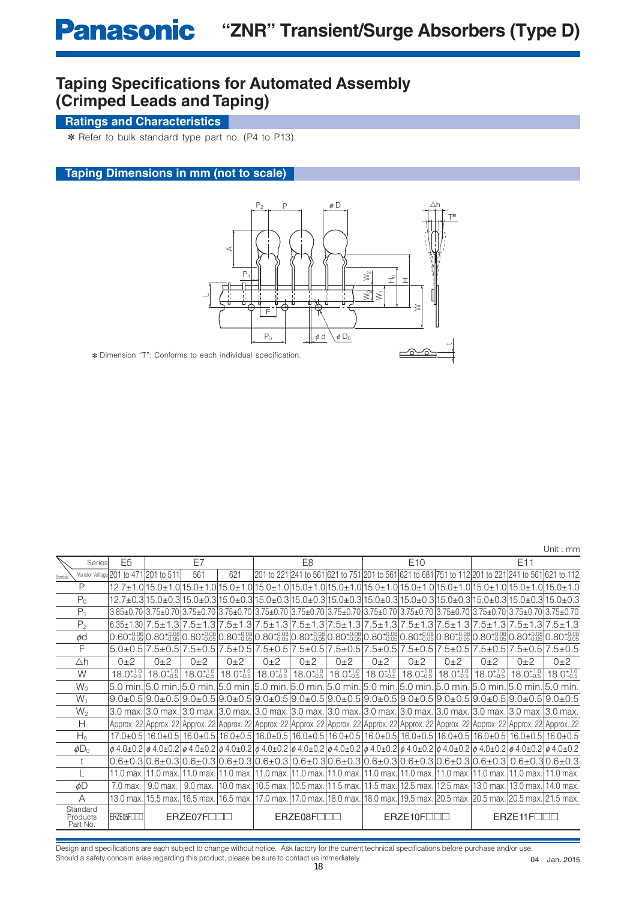## **Taping Specifications for Automated Assembly (Crimped Leads and Taping)**

## **Ratings and Characteristics**

✽ Refer to bulk standard type part no. (P4 to P13).

## **Taping Dimensions in mm (not to scale)**



Unit : mm

|        |                                  |                                        |                      |                         |                      |                      |                        |                                                                                              |          |                      | UIII. IIIIII |          |                                                                                                                                                                                                                                                                                          |                      |
|--------|----------------------------------|----------------------------------------|----------------------|-------------------------|----------------------|----------------------|------------------------|----------------------------------------------------------------------------------------------|----------|----------------------|--------------|----------|------------------------------------------------------------------------------------------------------------------------------------------------------------------------------------------------------------------------------------------------------------------------------------------|----------------------|
|        | Series                           | E <sub>5</sub>                         |                      | E7                      |                      |                      | E <sub>8</sub>         |                                                                                              |          | E <sub>10</sub>      |              |          | E11                                                                                                                                                                                                                                                                                      |                      |
| Symbol |                                  | Varistor Voltage 201 to 471 201 to 511 |                      | 561                     | 621                  |                      |                        |                                                                                              |          |                      |              |          | 201 to 221 241 to 561 621 to 751 201 to 561 621 to 681 751 to 112 201 to 221 241 to 561 621 to 112                                                                                                                                                                                       |                      |
|        | P                                |                                        |                      |                         |                      |                      |                        |                                                                                              |          |                      |              |          | 12.7±1.0 15.0±1.0 15.0±1.0 15.0±1.0 15.0±1.0 15.0±1.0 15.0±1.0 15.0±1.0 15.0±1.0 15.0±1.0 15.0±1.0 15.0±1.0 15                                                                                                                                                                           |                      |
|        | $P_0$                            |                                        |                      |                         |                      |                      |                        |                                                                                              |          |                      |              |          | 12.7±0.3 15.0±0.3 15.0±0.3 15.0±0.3 15.0±0.3 15.0±0.3 15.0±0.3 15.0±0.3 15.0±0.3 15.0±0.3 15.0±0.3 15.0±0.3 15                                                                                                                                                                           |                      |
|        | $P_1$                            |                                        |                      |                         |                      |                      |                        |                                                                                              |          |                      |              |          | 3.85±0.70 3.75±0.70 3.75±0.70 3.75±0.70 3.75±0.70 3.75±0.70 3.75±0.70 3.75±0.70 3.75±0.70 3.75±0.70 3.75±0.70 3.75±0.70 3.75±0.70 3.75±0.70                                                                                                                                              |                      |
|        | $P_{2}$                          |                                        |                      |                         |                      |                      |                        |                                                                                              |          |                      |              |          | $6.35 \pm 1.307.5 \pm 1.37.5 \pm 1.317.5 \pm 1.317.5 \pm 1.317.5 \pm 1.317.5 \pm 1.317.5 \pm 1.317.5 \pm 1.317.5 \pm 1.317.5 \pm 1.317.5 \pm 1.317.5 \pm 1.317.5 \pm 1.317.5 \pm 1.317.5 \pm 1.317.5 \pm 1.317.5 \pm 1.317.5 \pm 1.317.5 \pm 1.317.5 \pm 1.317.5 \pm 1.31$               |                      |
|        | ød                               |                                        |                      |                         |                      |                      |                        |                                                                                              |          |                      |              |          | $[0.60^{+0.02}_{-0.02}]0.80^{+0.02}_{-0.02}]0.80^{+0.02}_{-0.02}]0.80^{+0.02}_{-0.02}]0.80^{+0.02}_{-0.02}]0.80^{+0.02}_{-0.02}]0.80^{+0.02}_{-0.02}]0.80^{+0.02}_{-0.02}]0.80^{+0.02}_{-0.02}]0.80^{+0.02}_{-0.02}]0.80^{+0.02}_{-0.02}]0.80^{+0.02}_{-0.02}]0.80^{+0.02}_{-0.0$        |                      |
|        | F                                |                                        |                      |                         |                      |                      |                        |                                                                                              |          |                      |              |          | $5.0\pm0.5$  7.5 $\pm0.5$  7.5 $\pm0.5$  7.5 $\pm0.5$  7.5 $\pm0.5$  7.5 $\pm0.5$  7.5 $\pm0.5$  7.5 $\pm0.5$  7.5 $\pm0.5$  7.5 $\pm0.5$  7.5 $\pm0.5$  7.5 $\pm0.5$  7.5 $\pm0.5$  7.5 $\pm0.5$  7.5 $\pm0.5$  7.5 $\pm0.5$  7.5 $\pm0.5$  7.5 $\pm0.5$  7.5 $\pm0.5$  7.5 $\pm0.5$  7 | $7.5 \pm 0.5$        |
|        | Δh                               | $0\pm 2$                               | $0+2$                | $0+2$                   | $0\pm 2$             | $0\pm 2$             | $0+2$                  | $0\pm 2$                                                                                     | $0\pm 2$ | $0\pm 2$             | $0\pm 2$     | $0\pm 2$ | $0\pm 2$                                                                                                                                                                                                                                                                                 | $0\pm 2$             |
|        | W                                | $18.0_{-0.5}^{+1.0}$                   | $18.0^{+1.0}_{-0.5}$ | $18.0^{+1.0}_{-0.5}$    | $18.0_{-0.5}^{+1.0}$ | $18.0_{-0.5}^{+1.0}$ |                        | $18.0^{+1.0}_{-0.5}$ 18.0 <sup>+1.0</sup> <sub>0.5</sub> 18.0 <sup>+1.0</sup> <sub>0.5</sub> |          | $18.0^{+1.0}_{-0.5}$ |              |          | $18.0^{+1.0}_{-0.5}$   $18.0^{+1.0}_{-0.5}$   $18.0^{+1.0}_{-0.5}$                                                                                                                                                                                                                       | $18.0^{+1.0}_{-0.5}$ |
|        | $W_0$                            | 15.0 min.                              |                      |                         |                      |                      |                        |                                                                                              |          |                      |              |          | .l5.0 min.l5.0 min.l5.0 min.l5.0 min.l5.0 min.l5.0 min.l5.0 min.l5.0 min.l5.0 min.l5.0 min.l5.0 min.l5.0 min.                                                                                                                                                                            |                      |
|        | $W_1$                            |                                        |                      |                         |                      |                      |                        |                                                                                              |          |                      |              |          | $9.0\pm0.5$ $9.0\pm0.5$ $9.0\pm0.5$ $9.0\pm0.5$ $9.0\pm0.5$ $9.0\pm0.5$ $9.0\pm0.5$ $9.0\pm0.5$ $9.0\pm0.5$ $9.0\pm0.5$ $9.0\pm0.5$ $9.0\pm0.5$ $9.0\pm0.5$ $9.0\pm0.5$ $9.0\pm0.5$                                                                                                      |                      |
|        | $W_2$                            |                                        |                      |                         |                      |                      |                        |                                                                                              |          |                      |              |          | 3.0 max. 3.0 max. 3.0 max. 3.0 max. 3.0 max. 3.0 max. 3.0 max. 3.0 max. 3.0 max. 3.0 max. 3.0 max. 3.0 max. 3.0 max. 3.0 max.                                                                                                                                                            |                      |
|        | Н                                |                                        |                      |                         |                      |                      |                        |                                                                                              |          |                      |              |          | Арргох. 22 Арргох. 22 Арргох. 22 Арргох. 22 Арргох. 22 Арргох. 22 Арргох. 22 Арргох. 22 Арргох. 22 Арргох. 22 Арргох. 22 Арргох. 22 Арргох. 22 Арргох. 22 Арргох. 22 Арргох. 22 Арргох. 22 Арргох. 22 Арргох. 22 Арргох. 22 Ар                                                           |                      |
|        | $H_0$                            |                                        |                      |                         |                      |                      |                        |                                                                                              |          |                      |              |          | 17.0±0.5 16.0±0.5 16.0±0.5 16.0±0.5 16.0±0.5 16.0±0.5 16.0±0.5 16.0±0.5 16.0±0.5 16.0±0.5 16.0±0.5 16.0±0.5 16.0±0.5 16.0±0.5 16.0±0.5                                                                                                                                                   |                      |
|        | $\phi D_0$                       |                                        |                      |                         |                      |                      |                        |                                                                                              |          |                      |              |          | $\phi$ 4.0±0.2 $\phi$ 4.0±0.2 $\phi$ 4.0±0.2 $\phi$ 4.0±0.2 $\phi$ 4.0±0.2 $\phi$ 4.0±0.2 $\phi$ 4.0±0.2 $\phi$ 4.0±0.2 $\phi$ 4.0±0.2 $\phi$ 4.0±0.2 $\phi$ 4.0±0.2 $\phi$ 4.0±0.2 $\phi$ 4.0±0.2                                                                                       |                      |
|        |                                  |                                        |                      |                         |                      |                      |                        |                                                                                              |          |                      |              |          | $0.6\pm0.3$ $0.6\pm0.3$ $0.6\pm0.3$ $0.6\pm0.3$ $0.6\pm0.3$ $0.6\pm0.3$ $0.6\pm0.3$ $0.6\pm0.3$ $0.6\pm0.3$ $0.6\pm0.3$ $0.6\pm0.3$ $0.6\pm0.3$ $0.6\pm0.3$ $0.6\pm0.3$                                                                                                                  |                      |
|        |                                  |                                        |                      |                         |                      |                      |                        |                                                                                              |          |                      |              |          | 11.0 max. 11.0 max. 11.0 max. 11.0 max. 11.0 max. 11.0 max. 11.0 max. 11.0 max. 11.0 max. 11.0 max. 11.0 max. 11.0 max. 11.0 max.                                                                                                                                                        |                      |
|        | øD                               | 7.0 max.                               | 9.0 max.             | 9.0 max.                |                      |                      |                        |                                                                                              |          |                      |              |          | 10.0 max. 10.5 max. 10.5 max. 11.5 max. 11.5 max. 12.5 max. 12.5 max. 13.0 max. 13.0 max. 14.0 max.                                                                                                                                                                                      |                      |
|        | А                                | 13.0 max.                              |                      |                         |                      |                      |                        |                                                                                              |          |                      |              |          | 15.5 max. 16.5 max. 16.5 max. 17.0 max. 17.0 max. 18.0 max. 18.0 max. 19.5 max. 20.5 max. 20.5 max. 20.5 max. 21.5 max.                                                                                                                                                                  |                      |
|        | Standard<br>Products<br>Part No. | ERZE05FILL                             |                      | $F$ RZ $F$ 07 $F$ $\Pi$ |                      |                      | ERZE08F <sub>III</sub> |                                                                                              |          | ERZE10F              |              |          | ERZE11F                                                                                                                                                                                                                                                                                  |                      |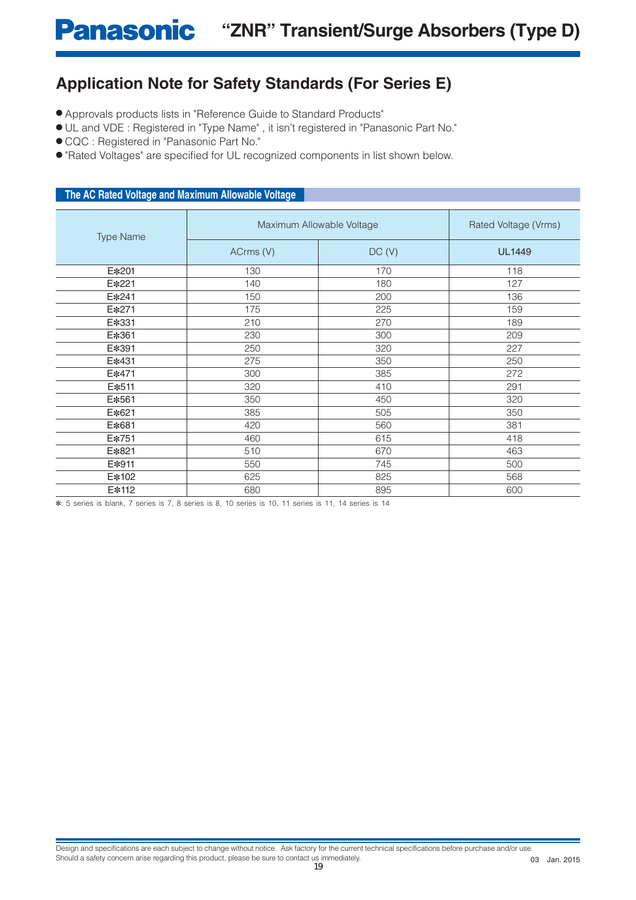# **Panasonic** "ZNR" Transient/Surge Absorbers (Type D)

## **Application Note for Safety Standards (For Series E)**

- Approvals products lists in "Reference Guide to Standard Products"
- UL and VDE : Registered in "Type Name" , it isn't registered in "Panasonic Part No."
- CQC : Registered in "Panasonic Part No."
- "Rated Voltages" are specified for UL recognized components in list shown below.

## **The AC Rated Voltage and Maximum Allowable Voltage**

| <b>Type Name</b> |           | Maximum Allowable Voltage | Rated Voltage (Vrms) |  |  |
|------------------|-----------|---------------------------|----------------------|--|--|
|                  | ACrms (V) | DC(V)                     | <b>UL1449</b>        |  |  |
| E*201            | 130       | 170                       | 118                  |  |  |
| E*221            | 140       | 180                       | 127                  |  |  |
| E*241            | 150       | 200                       | 136                  |  |  |
| E*271            | 175       | 225                       | 159                  |  |  |
| E*331            | 210       | 270                       | 189                  |  |  |
| E*361            | 230       | 300                       | 209                  |  |  |
| E*391            | 250       | 320                       | 227                  |  |  |
| E*431            | 275       | 350                       | 250                  |  |  |
| E*471            | 300       | 385                       | 272                  |  |  |
| E*511            | 320       | 410                       | 291                  |  |  |
| E*561            | 350       | 450                       | 320                  |  |  |
| E*621            | 385       | 505                       | 350                  |  |  |
| E*681            | 420       | 560                       | 381                  |  |  |
| E*751            | 460       | 615                       | 418                  |  |  |
| E*821            | 510       | 670                       | 463                  |  |  |
| E*911            | 550       | 745                       | 500                  |  |  |
| E*102            | 625       | 825                       | 568                  |  |  |
| E*112            | 680       | 895                       | 600                  |  |  |

✽: 5 series is blank, 7 series is 7, 8 series is 8, 10 series is 10, 11 series is 11, 14 series is 14